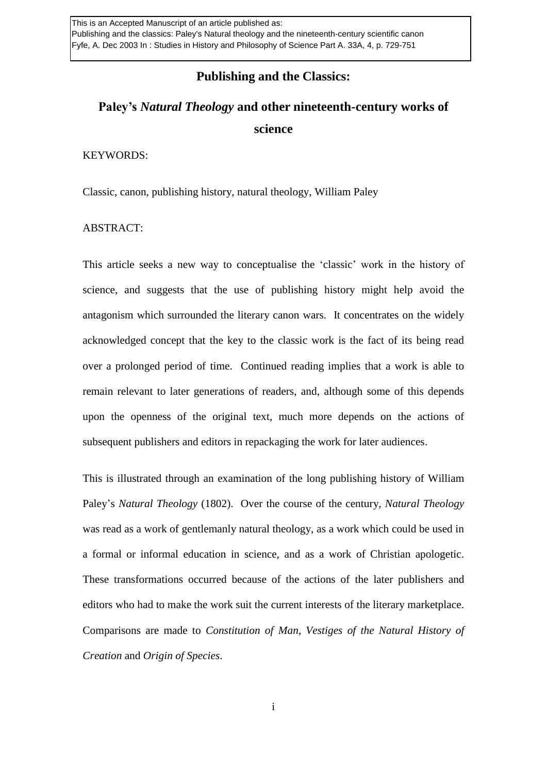### **Publishing and the Classics:**

# **Paley's** *Natural Theology* **and other nineteenth-century works of science**

#### KEYWORDS:

Classic, canon, publishing history, natural theology, William Paley

#### ABSTRACT:

This article seeks a new way to conceptualise the 'classic' work in the history of science, and suggests that the use of publishing history might help avoid the antagonism which surrounded the literary canon wars. It concentrates on the widely acknowledged concept that the key to the classic work is the fact of its being read over a prolonged period of time. Continued reading implies that a work is able to remain relevant to later generations of readers, and, although some of this depends upon the openness of the original text, much more depends on the actions of subsequent publishers and editors in repackaging the work for later audiences.

This is illustrated through an examination of the long publishing history of William Paley's *Natural Theology* (1802). Over the course of the century, *Natural Theology*  was read as a work of gentlemanly natural theology, as a work which could be used in a formal or informal education in science, and as a work of Christian apologetic. These transformations occurred because of the actions of the later publishers and editors who had to make the work suit the current interests of the literary marketplace. Comparisons are made to *Constitution of Man*, *Vestiges of the Natural History of Creation* and *Origin of Species*.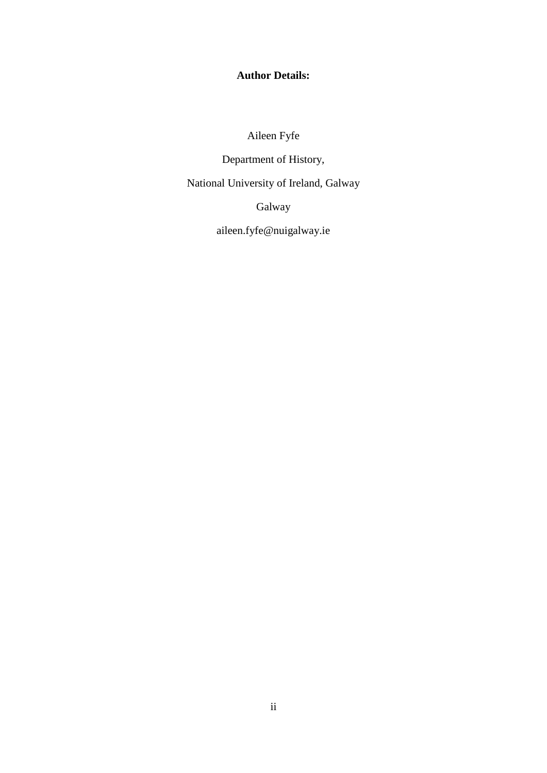**Author Details:**

Aileen Fyfe

Department of History,

National University of Ireland, Galway

Galway

aileen.fyfe@nuigalway.ie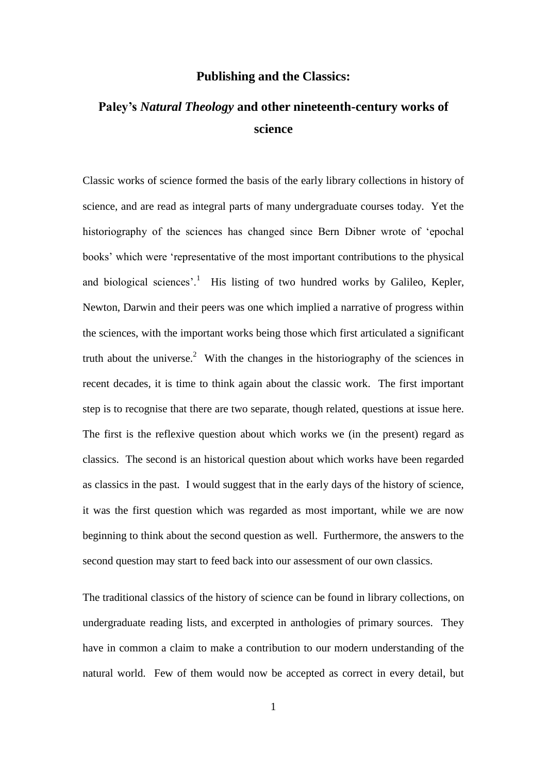### **Publishing and the Classics:**

# **Paley's** *Natural Theology* **and other nineteenth-century works of science**

Classic works of science formed the basis of the early library collections in history of science, and are read as integral parts of many undergraduate courses today. Yet the historiography of the sciences has changed since Bern Dibner wrote of 'epochal books' which were 'representative of the most important contributions to the physical and biological sciences'.<sup>1</sup> His listing of two hundred works by Galileo, Kepler, Newton, Darwin and their peers was one which implied a narrative of progress within the sciences, with the important works being those which first articulated a significant truth about the universe.<sup>2</sup> With the changes in the historiography of the sciences in recent decades, it is time to think again about the classic work. The first important step is to recognise that there are two separate, though related, questions at issue here. The first is the reflexive question about which works we (in the present) regard as classics. The second is an historical question about which works have been regarded as classics in the past. I would suggest that in the early days of the history of science, it was the first question which was regarded as most important, while we are now beginning to think about the second question as well. Furthermore, the answers to the second question may start to feed back into our assessment of our own classics.

The traditional classics of the history of science can be found in library collections, on undergraduate reading lists, and excerpted in anthologies of primary sources. They have in common a claim to make a contribution to our modern understanding of the natural world. Few of them would now be accepted as correct in every detail, but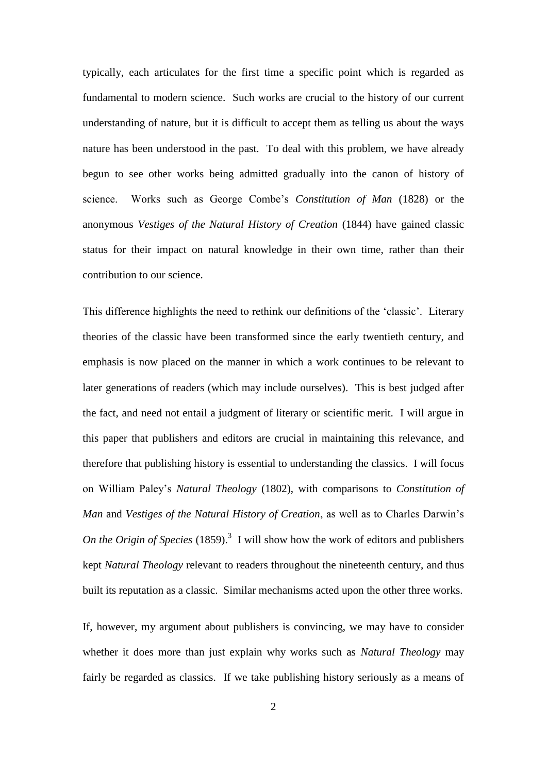typically, each articulates for the first time a specific point which is regarded as fundamental to modern science. Such works are crucial to the history of our current understanding of nature, but it is difficult to accept them as telling us about the ways nature has been understood in the past. To deal with this problem, we have already begun to see other works being admitted gradually into the canon of history of science. Works such as George Combe's *Constitution of Man* (1828) or the anonymous *Vestiges of the Natural History of Creation* (1844) have gained classic status for their impact on natural knowledge in their own time, rather than their contribution to our science.

This difference highlights the need to rethink our definitions of the 'classic'. Literary theories of the classic have been transformed since the early twentieth century, and emphasis is now placed on the manner in which a work continues to be relevant to later generations of readers (which may include ourselves). This is best judged after the fact, and need not entail a judgment of literary or scientific merit. I will argue in this paper that publishers and editors are crucial in maintaining this relevance, and therefore that publishing history is essential to understanding the classics. I will focus on William Paley's *Natural Theology* (1802), with comparisons to *Constitution of Man* and *Vestiges of the Natural History of Creation*, as well as to Charles Darwin's On the Origin of Species  $(1859)$ .<sup>3</sup> I will show how the work of editors and publishers kept *Natural Theology* relevant to readers throughout the nineteenth century, and thus built its reputation as a classic. Similar mechanisms acted upon the other three works.

If, however, my argument about publishers is convincing, we may have to consider whether it does more than just explain why works such as *Natural Theology* may fairly be regarded as classics. If we take publishing history seriously as a means of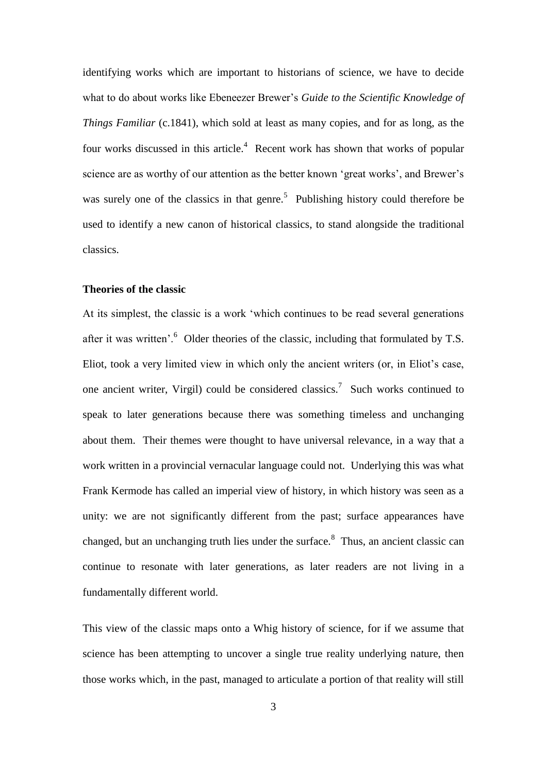identifying works which are important to historians of science, we have to decide what to do about works like Ebeneezer Brewer's *Guide to the Scientific Knowledge of Things Familiar* (c.1841), which sold at least as many copies, and for as long, as the four works discussed in this article.<sup>4</sup> Recent work has shown that works of popular science are as worthy of our attention as the better known 'great works', and Brewer's was surely one of the classics in that genre.<sup>5</sup> Publishing history could therefore be used to identify a new canon of historical classics, to stand alongside the traditional classics.

#### **Theories of the classic**

At its simplest, the classic is a work 'which continues to be read several generations after it was written'. $\overset{6}{\circ}$  Older theories of the classic, including that formulated by T.S. Eliot, took a very limited view in which only the ancient writers (or, in Eliot's case, one ancient writer, Virgil) could be considered classics.<sup>7</sup> Such works continued to speak to later generations because there was something timeless and unchanging about them. Their themes were thought to have universal relevance, in a way that a work written in a provincial vernacular language could not. Underlying this was what Frank Kermode has called an imperial view of history, in which history was seen as a unity: we are not significantly different from the past; surface appearances have changed, but an unchanging truth lies under the surface. $8$  Thus, an ancient classic can continue to resonate with later generations, as later readers are not living in a fundamentally different world.

This view of the classic maps onto a Whig history of science, for if we assume that science has been attempting to uncover a single true reality underlying nature, then those works which, in the past, managed to articulate a portion of that reality will still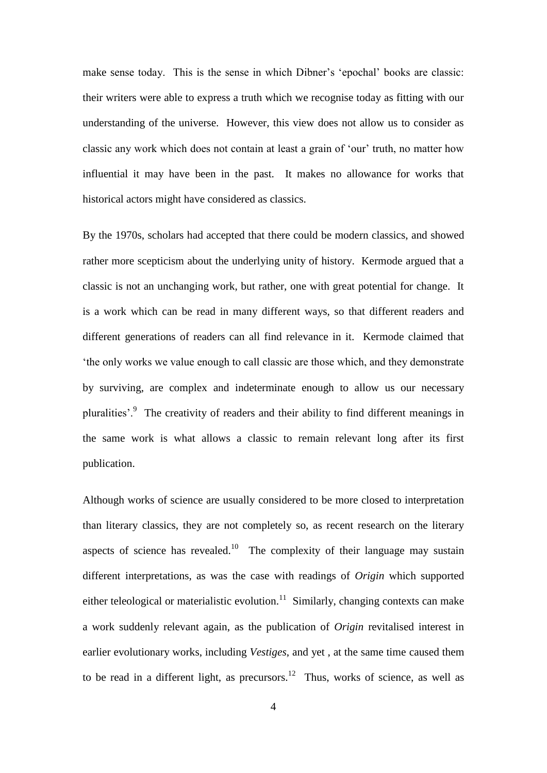make sense today. This is the sense in which Dibner's 'epochal' books are classic: their writers were able to express a truth which we recognise today as fitting with our understanding of the universe. However, this view does not allow us to consider as classic any work which does not contain at least a grain of 'our' truth, no matter how influential it may have been in the past. It makes no allowance for works that historical actors might have considered as classics.

By the 1970s, scholars had accepted that there could be modern classics, and showed rather more scepticism about the underlying unity of history. Kermode argued that a classic is not an unchanging work, but rather, one with great potential for change. It is a work which can be read in many different ways, so that different readers and different generations of readers can all find relevance in it. Kermode claimed that 'the only works we value enough to call classic are those which, and they demonstrate by surviving, are complex and indeterminate enough to allow us our necessary pluralities'.<sup>9</sup> The creativity of readers and their ability to find different meanings in the same work is what allows a classic to remain relevant long after its first publication.

Although works of science are usually considered to be more closed to interpretation than literary classics, they are not completely so, as recent research on the literary aspects of science has revealed.<sup>10</sup> The complexity of their language may sustain different interpretations, as was the case with readings of *Origin* which supported either teleological or materialistic evolution.<sup>11</sup> Similarly, changing contexts can make a work suddenly relevant again, as the publication of *Origin* revitalised interest in earlier evolutionary works, including *Vestiges*, and yet , at the same time caused them to be read in a different light, as precursors.<sup>12</sup> Thus, works of science, as well as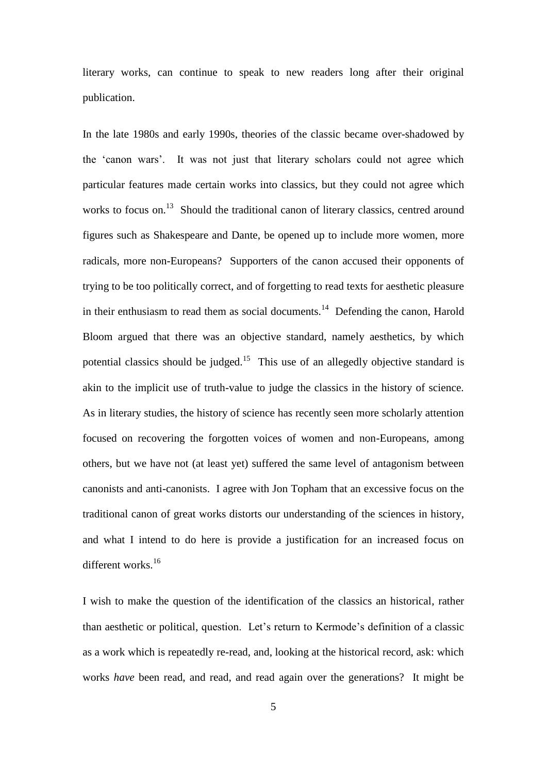literary works, can continue to speak to new readers long after their original publication.

In the late 1980s and early 1990s, theories of the classic became over-shadowed by the 'canon wars'. It was not just that literary scholars could not agree which particular features made certain works into classics, but they could not agree which works to focus on.<sup>13</sup> Should the traditional canon of literary classics, centred around figures such as Shakespeare and Dante, be opened up to include more women, more radicals, more non-Europeans? Supporters of the canon accused their opponents of trying to be too politically correct, and of forgetting to read texts for aesthetic pleasure in their enthusiasm to read them as social documents.<sup>14</sup> Defending the canon, Harold Bloom argued that there was an objective standard, namely aesthetics, by which potential classics should be judged.<sup>15</sup> This use of an allegedly objective standard is akin to the implicit use of truth-value to judge the classics in the history of science. As in literary studies, the history of science has recently seen more scholarly attention focused on recovering the forgotten voices of women and non-Europeans, among others, but we have not (at least yet) suffered the same level of antagonism between canonists and anti-canonists. I agree with Jon Topham that an excessive focus on the traditional canon of great works distorts our understanding of the sciences in history, and what I intend to do here is provide a justification for an increased focus on different works.<sup>16</sup>

I wish to make the question of the identification of the classics an historical, rather than aesthetic or political, question. Let's return to Kermode's definition of a classic as a work which is repeatedly re-read, and, looking at the historical record, ask: which works *have* been read, and read, and read again over the generations? It might be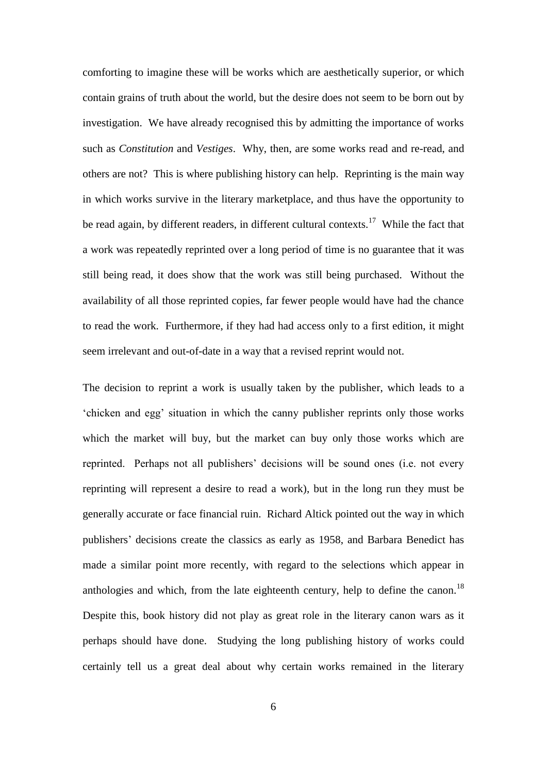comforting to imagine these will be works which are aesthetically superior, or which contain grains of truth about the world, but the desire does not seem to be born out by investigation. We have already recognised this by admitting the importance of works such as *Constitution* and *Vestiges*. Why, then, are some works read and re-read, and others are not? This is where publishing history can help. Reprinting is the main way in which works survive in the literary marketplace, and thus have the opportunity to be read again, by different readers, in different cultural contexts.<sup>17</sup> While the fact that a work was repeatedly reprinted over a long period of time is no guarantee that it was still being read, it does show that the work was still being purchased. Without the availability of all those reprinted copies, far fewer people would have had the chance to read the work. Furthermore, if they had had access only to a first edition, it might seem irrelevant and out-of-date in a way that a revised reprint would not.

The decision to reprint a work is usually taken by the publisher, which leads to a 'chicken and egg' situation in which the canny publisher reprints only those works which the market will buy, but the market can buy only those works which are reprinted. Perhaps not all publishers' decisions will be sound ones (i.e. not every reprinting will represent a desire to read a work), but in the long run they must be generally accurate or face financial ruin. Richard Altick pointed out the way in which publishers' decisions create the classics as early as 1958, and Barbara Benedict has made a similar point more recently, with regard to the selections which appear in anthologies and which, from the late eighteenth century, help to define the canon.<sup>18</sup> Despite this, book history did not play as great role in the literary canon wars as it perhaps should have done. Studying the long publishing history of works could certainly tell us a great deal about why certain works remained in the literary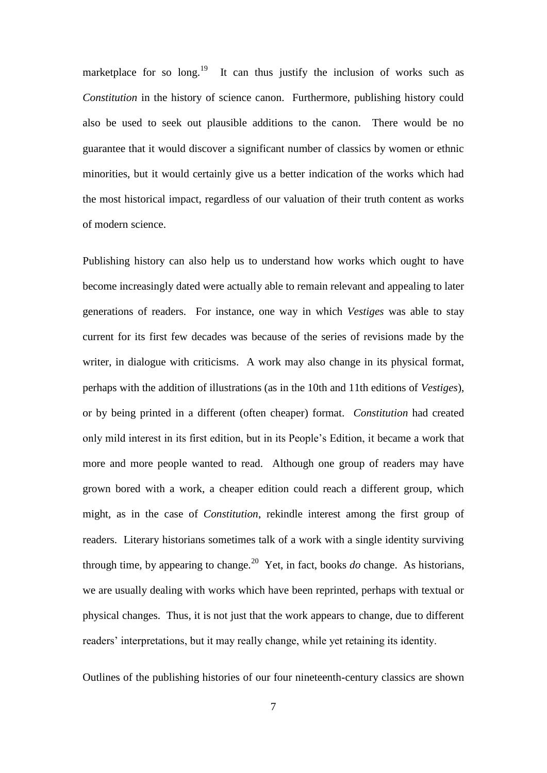marketplace for so long.<sup>19</sup> It can thus justify the inclusion of works such as *Constitution* in the history of science canon. Furthermore, publishing history could also be used to seek out plausible additions to the canon. There would be no guarantee that it would discover a significant number of classics by women or ethnic minorities, but it would certainly give us a better indication of the works which had the most historical impact, regardless of our valuation of their truth content as works of modern science.

Publishing history can also help us to understand how works which ought to have become increasingly dated were actually able to remain relevant and appealing to later generations of readers. For instance, one way in which *Vestiges* was able to stay current for its first few decades was because of the series of revisions made by the writer, in dialogue with criticisms. A work may also change in its physical format, perhaps with the addition of illustrations (as in the 10th and 11th editions of *Vestiges*), or by being printed in a different (often cheaper) format. *Constitution* had created only mild interest in its first edition, but in its People's Edition, it became a work that more and more people wanted to read. Although one group of readers may have grown bored with a work, a cheaper edition could reach a different group, which might, as in the case of *Constitution*, rekindle interest among the first group of readers. Literary historians sometimes talk of a work with a single identity surviving through time, by appearing to change.<sup>20</sup> Yet, in fact, books  $do$  change. As historians, we are usually dealing with works which have been reprinted, perhaps with textual or physical changes. Thus, it is not just that the work appears to change, due to different readers' interpretations, but it may really change, while yet retaining its identity.

Outlines of the publishing histories of our four nineteenth-century classics are shown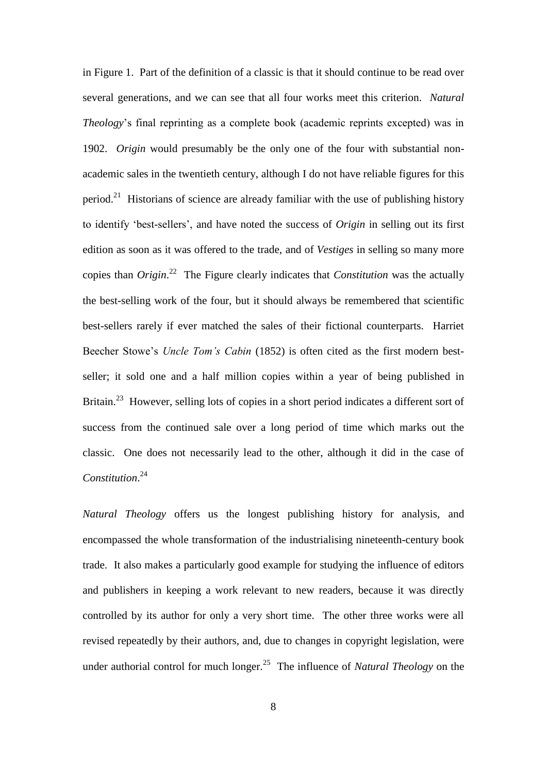in Figure 1. Part of the definition of a classic is that it should continue to be read over several generations, and we can see that all four works meet this criterion. *Natural Theology*'s final reprinting as a complete book (academic reprints excepted) was in 1902. *Origin* would presumably be the only one of the four with substantial nonacademic sales in the twentieth century, although I do not have reliable figures for this period.<sup>21</sup> Historians of science are already familiar with the use of publishing history to identify 'best-sellers', and have noted the success of *Origin* in selling out its first edition as soon as it was offered to the trade, and of *Vestiges* in selling so many more copies than *Origin*. 22 The Figure clearly indicates that *Constitution* was the actually the best-selling work of the four, but it should always be remembered that scientific best-sellers rarely if ever matched the sales of their fictional counterparts. Harriet Beecher Stowe's *Uncle Tom's Cabin* (1852) is often cited as the first modern bestseller; it sold one and a half million copies within a year of being published in Britain.<sup>23</sup> However, selling lots of copies in a short period indicates a different sort of success from the continued sale over a long period of time which marks out the classic. One does not necessarily lead to the other, although it did in the case of *Constitution*. 24

*Natural Theology* offers us the longest publishing history for analysis, and encompassed the whole transformation of the industrialising nineteenth-century book trade. It also makes a particularly good example for studying the influence of editors and publishers in keeping a work relevant to new readers, because it was directly controlled by its author for only a very short time. The other three works were all revised repeatedly by their authors, and, due to changes in copyright legislation, were under authorial control for much longer.<sup>25</sup> The influence of *Natural Theology* on the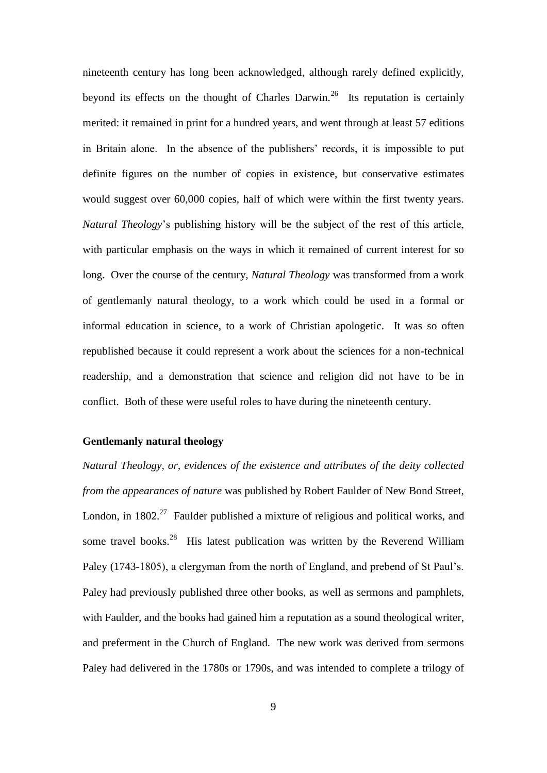nineteenth century has long been acknowledged, although rarely defined explicitly, beyond its effects on the thought of Charles Darwin.<sup>26</sup> Its reputation is certainly merited: it remained in print for a hundred years, and went through at least 57 editions in Britain alone. In the absence of the publishers' records, it is impossible to put definite figures on the number of copies in existence, but conservative estimates would suggest over 60,000 copies, half of which were within the first twenty years. *Natural Theology*'s publishing history will be the subject of the rest of this article, with particular emphasis on the ways in which it remained of current interest for so long. Over the course of the century, *Natural Theology* was transformed from a work of gentlemanly natural theology, to a work which could be used in a formal or informal education in science, to a work of Christian apologetic. It was so often republished because it could represent a work about the sciences for a non-technical readership, and a demonstration that science and religion did not have to be in conflict. Both of these were useful roles to have during the nineteenth century.

#### **Gentlemanly natural theology**

*Natural Theology, or, evidences of the existence and attributes of the deity collected from the appearances of nature* was published by Robert Faulder of New Bond Street, London, in  $1802<sup>27</sup>$  Faulder published a mixture of religious and political works, and some travel books.<sup>28</sup> His latest publication was written by the Reverend William Paley (1743-1805), a clergyman from the north of England, and prebend of St Paul's. Paley had previously published three other books, as well as sermons and pamphlets, with Faulder, and the books had gained him a reputation as a sound theological writer, and preferment in the Church of England. The new work was derived from sermons Paley had delivered in the 1780s or 1790s, and was intended to complete a trilogy of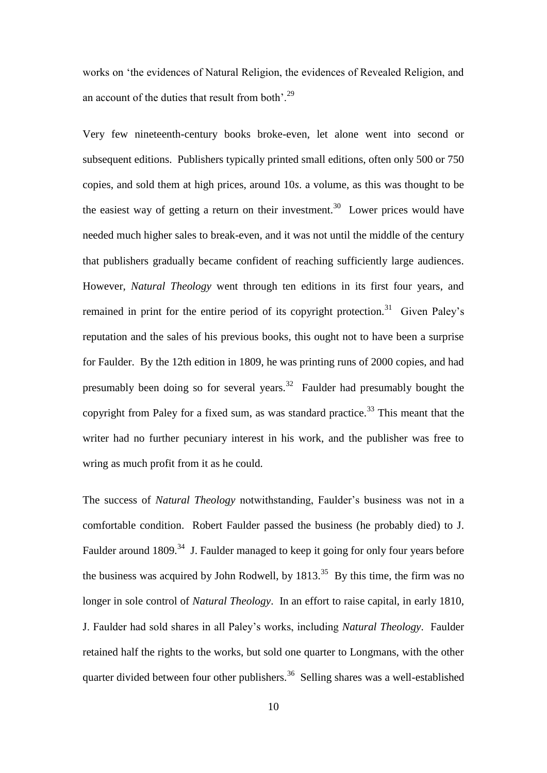works on 'the evidences of Natural Religion, the evidences of Revealed Religion, and an account of the duties that result from both' $^{29}$ 

Very few nineteenth-century books broke-even, let alone went into second or subsequent editions. Publishers typically printed small editions, often only 500 or 750 copies, and sold them at high prices, around 10*s*. a volume, as this was thought to be the easiest way of getting a return on their investment.<sup>30</sup> Lower prices would have needed much higher sales to break-even, and it was not until the middle of the century that publishers gradually became confident of reaching sufficiently large audiences. However, *Natural Theology* went through ten editions in its first four years, and remained in print for the entire period of its copyright protection.<sup>31</sup> Given Paley's reputation and the sales of his previous books, this ought not to have been a surprise for Faulder. By the 12th edition in 1809, he was printing runs of 2000 copies, and had presumably been doing so for several years.<sup>32</sup> Faulder had presumably bought the copyright from Paley for a fixed sum, as was standard practice.<sup>33</sup> This meant that the writer had no further pecuniary interest in his work, and the publisher was free to wring as much profit from it as he could.

The success of *Natural Theology* notwithstanding, Faulder's business was not in a comfortable condition. Robert Faulder passed the business (he probably died) to J. Faulder around 1809.<sup>34</sup> J. Faulder managed to keep it going for only four years before the business was acquired by John Rodwell, by  $1813<sup>35</sup>$  By this time, the firm was no longer in sole control of *Natural Theology*. In an effort to raise capital, in early 1810, J. Faulder had sold shares in all Paley's works, including *Natural Theology*. Faulder retained half the rights to the works, but sold one quarter to Longmans, with the other quarter divided between four other publishers.<sup>36</sup> Selling shares was a well-established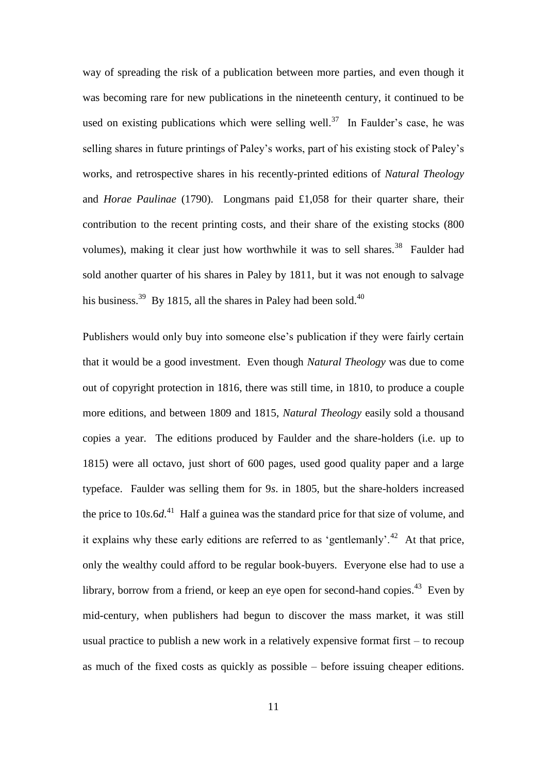way of spreading the risk of a publication between more parties, and even though it was becoming rare for new publications in the nineteenth century, it continued to be used on existing publications which were selling well.<sup>37</sup> In Faulder's case, he was selling shares in future printings of Paley's works, part of his existing stock of Paley's works, and retrospective shares in his recently-printed editions of *Natural Theology* and *Horae Paulinae* (1790). Longmans paid £1,058 for their quarter share, their contribution to the recent printing costs, and their share of the existing stocks (800 volumes), making it clear just how worthwhile it was to sell shares.<sup>38</sup> Faulder had sold another quarter of his shares in Paley by 1811, but it was not enough to salvage his business.<sup>39</sup> By 1815, all the shares in Paley had been sold.<sup>40</sup>

Publishers would only buy into someone else's publication if they were fairly certain that it would be a good investment. Even though *Natural Theology* was due to come out of copyright protection in 1816, there was still time, in 1810, to produce a couple more editions, and between 1809 and 1815, *Natural Theology* easily sold a thousand copies a year. The editions produced by Faulder and the share-holders (i.e. up to 1815) were all octavo, just short of 600 pages, used good quality paper and a large typeface. Faulder was selling them for 9*s*. in 1805, but the share-holders increased the price to 10*s*.6*d*. 41 Half a guinea was the standard price for that size of volume, and it explains why these early editions are referred to as 'gentlemanly'.<sup>42</sup> At that price, only the wealthy could afford to be regular book-buyers. Everyone else had to use a library, borrow from a friend, or keep an eye open for second-hand copies.<sup>43</sup> Even by mid-century, when publishers had begun to discover the mass market, it was still usual practice to publish a new work in a relatively expensive format first – to recoup as much of the fixed costs as quickly as possible – before issuing cheaper editions.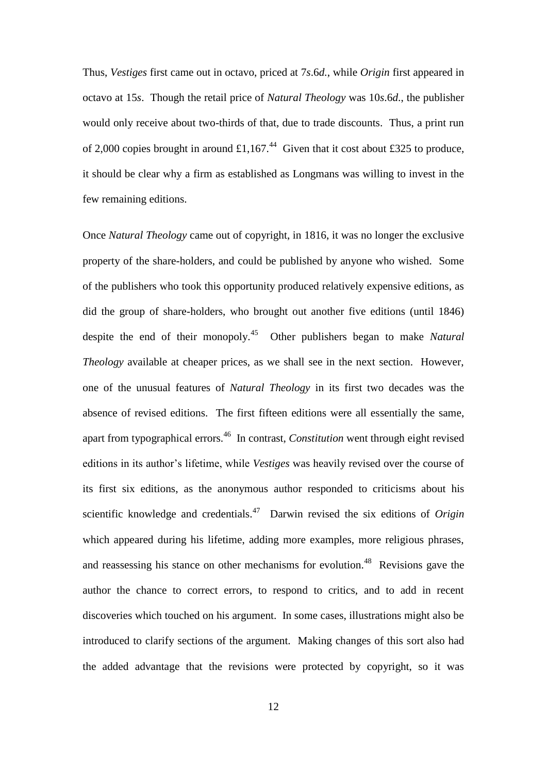Thus, *Vestiges* first came out in octavo, priced at 7*s*.6*d.*, while *Origin* first appeared in octavo at 15*s*. Though the retail price of *Natural Theology* was 10*s*.6*d*., the publisher would only receive about two-thirds of that, due to trade discounts. Thus, a print run of 2,000 copies brought in around £1,167.<sup>44</sup> Given that it cost about £325 to produce, it should be clear why a firm as established as Longmans was willing to invest in the few remaining editions.

Once *Natural Theology* came out of copyright, in 1816, it was no longer the exclusive property of the share-holders, and could be published by anyone who wished. Some of the publishers who took this opportunity produced relatively expensive editions, as did the group of share-holders, who brought out another five editions (until 1846) despite the end of their monopoly.<sup>45</sup> Other publishers began to make *Natural Theology* available at cheaper prices, as we shall see in the next section. However, one of the unusual features of *Natural Theology* in its first two decades was the absence of revised editions. The first fifteen editions were all essentially the same, apart from typographical errors.<sup>46</sup> In contrast, *Constitution* went through eight revised editions in its author's lifetime, while *Vestiges* was heavily revised over the course of its first six editions, as the anonymous author responded to criticisms about his scientific knowledge and credentials.<sup>47</sup> Darwin revised the six editions of *Origin* which appeared during his lifetime, adding more examples, more religious phrases, and reassessing his stance on other mechanisms for evolution.<sup>48</sup> Revisions gave the author the chance to correct errors, to respond to critics, and to add in recent discoveries which touched on his argument. In some cases, illustrations might also be introduced to clarify sections of the argument. Making changes of this sort also had the added advantage that the revisions were protected by copyright, so it was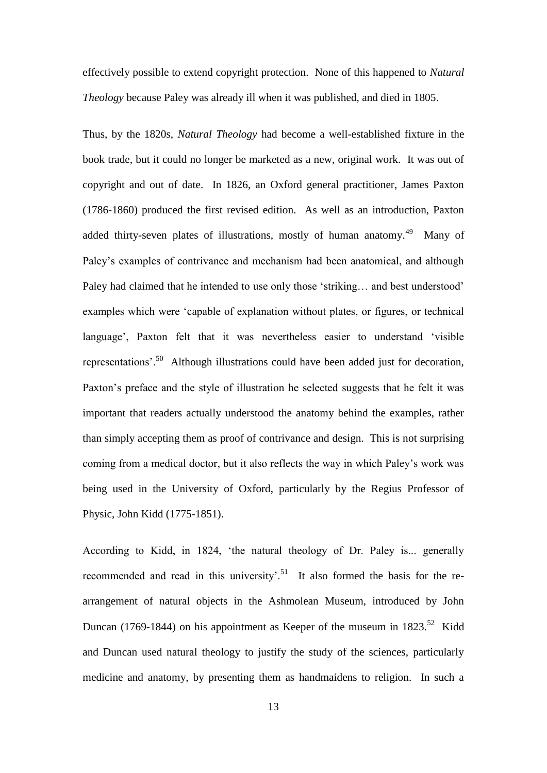effectively possible to extend copyright protection. None of this happened to *Natural Theology* because Paley was already ill when it was published, and died in 1805.

Thus, by the 1820s, *Natural Theology* had become a well-established fixture in the book trade, but it could no longer be marketed as a new, original work. It was out of copyright and out of date. In 1826, an Oxford general practitioner, James Paxton (1786-1860) produced the first revised edition. As well as an introduction, Paxton added thirty-seven plates of illustrations, mostly of human anatomy.<sup>49</sup> Many of Paley's examples of contrivance and mechanism had been anatomical, and although Paley had claimed that he intended to use only those 'striking… and best understood' examples which were 'capable of explanation without plates, or figures, or technical language', Paxton felt that it was nevertheless easier to understand 'visible representations'.<sup>50</sup> Although illustrations could have been added just for decoration, Paxton's preface and the style of illustration he selected suggests that he felt it was important that readers actually understood the anatomy behind the examples, rather than simply accepting them as proof of contrivance and design. This is not surprising coming from a medical doctor, but it also reflects the way in which Paley's work was being used in the University of Oxford, particularly by the Regius Professor of Physic, John Kidd (1775-1851).

According to Kidd, in 1824, 'the natural theology of Dr. Paley is... generally recommended and read in this university'.<sup>51</sup> It also formed the basis for the rearrangement of natural objects in the Ashmolean Museum, introduced by John Duncan (1769-1844) on his appointment as Keeper of the museum in  $1823$ <sup>52</sup> Kidd and Duncan used natural theology to justify the study of the sciences, particularly medicine and anatomy, by presenting them as handmaidens to religion. In such a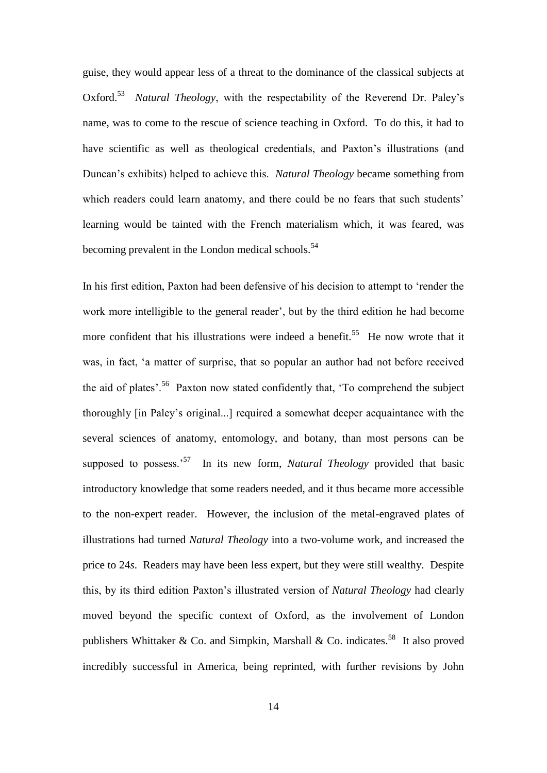guise, they would appear less of a threat to the dominance of the classical subjects at Oxford.<sup>53</sup> Natural Theology, with the respectability of the Reverend Dr. Paley's name, was to come to the rescue of science teaching in Oxford. To do this, it had to have scientific as well as theological credentials, and Paxton's illustrations (and Duncan's exhibits) helped to achieve this. *Natural Theology* became something from which readers could learn anatomy, and there could be no fears that such students' learning would be tainted with the French materialism which, it was feared, was becoming prevalent in the London medical schools.<sup>54</sup>

In his first edition, Paxton had been defensive of his decision to attempt to 'render the work more intelligible to the general reader', but by the third edition he had become more confident that his illustrations were indeed a benefit.<sup>55</sup> He now wrote that it was, in fact, 'a matter of surprise, that so popular an author had not before received the aid of plates'.<sup>56</sup> Paxton now stated confidently that, 'To comprehend the subject thoroughly [in Paley's original...] required a somewhat deeper acquaintance with the several sciences of anatomy, entomology, and botany, than most persons can be supposed to possess.<sup>57</sup> In its new form, *Natural Theology* provided that basic introductory knowledge that some readers needed, and it thus became more accessible to the non-expert reader. However, the inclusion of the metal-engraved plates of illustrations had turned *Natural Theology* into a two-volume work, and increased the price to 24*s*. Readers may have been less expert, but they were still wealthy. Despite this, by its third edition Paxton's illustrated version of *Natural Theology* had clearly moved beyond the specific context of Oxford, as the involvement of London publishers Whittaker & Co. and Simpkin, Marshall & Co. indicates.<sup>58</sup> It also proved incredibly successful in America, being reprinted, with further revisions by John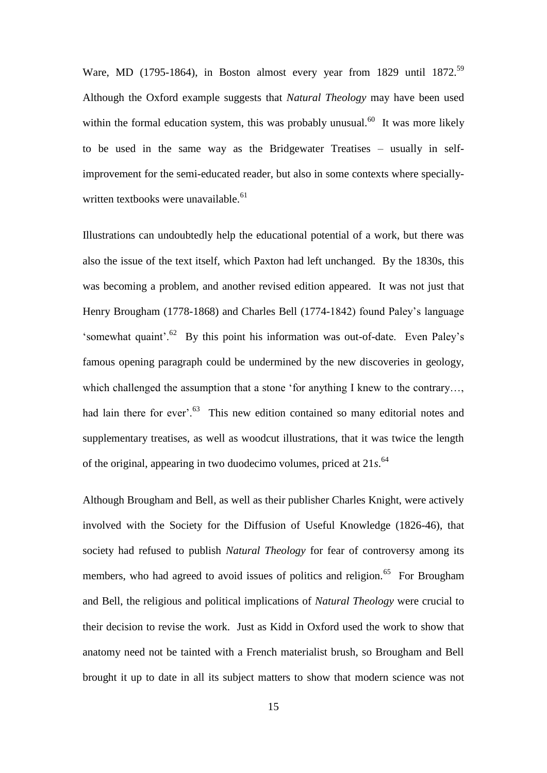Ware, MD (1795-1864), in Boston almost every year from 1829 until 1872.<sup>59</sup> Although the Oxford example suggests that *Natural Theology* may have been used within the formal education system, this was probably unusual.<sup>60</sup> It was more likely to be used in the same way as the Bridgewater Treatises – usually in selfimprovement for the semi-educated reader, but also in some contexts where speciallywritten textbooks were unavailable. $61$ 

Illustrations can undoubtedly help the educational potential of a work, but there was also the issue of the text itself, which Paxton had left unchanged. By the 1830s, this was becoming a problem, and another revised edition appeared. It was not just that Henry Brougham (1778-1868) and Charles Bell (1774-1842) found Paley's language 'somewhat quaint'.<sup>62</sup> By this point his information was out-of-date. Even Paley's famous opening paragraph could be undermined by the new discoveries in geology, which challenged the assumption that a stone 'for anything I knew to the contrary..., had lain there for ever'.<sup>63</sup> This new edition contained so many editorial notes and supplementary treatises, as well as woodcut illustrations, that it was twice the length of the original, appearing in two duodecimo volumes, priced at 21*s*. 64

Although Brougham and Bell, as well as their publisher Charles Knight, were actively involved with the Society for the Diffusion of Useful Knowledge (1826-46), that society had refused to publish *Natural Theology* for fear of controversy among its members, who had agreed to avoid issues of politics and religion.<sup>65</sup> For Brougham and Bell, the religious and political implications of *Natural Theology* were crucial to their decision to revise the work. Just as Kidd in Oxford used the work to show that anatomy need not be tainted with a French materialist brush, so Brougham and Bell brought it up to date in all its subject matters to show that modern science was not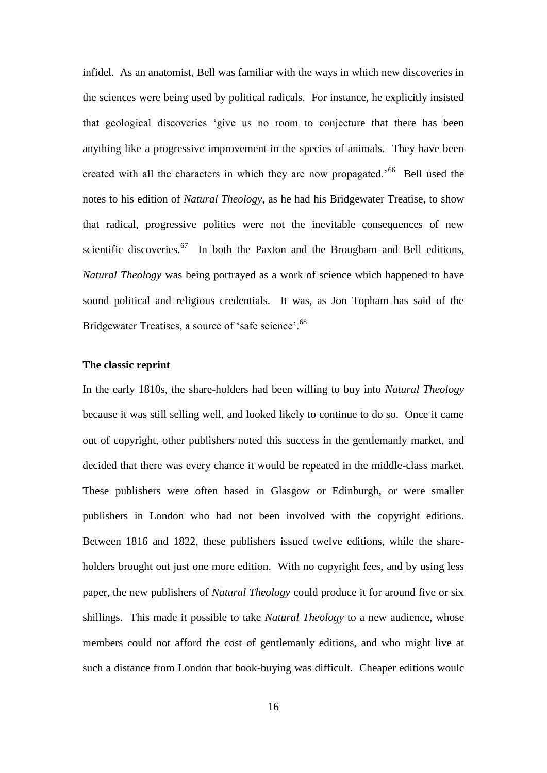infidel. As an anatomist, Bell was familiar with the ways in which new discoveries in the sciences were being used by political radicals. For instance, he explicitly insisted that geological discoveries 'give us no room to conjecture that there has been anything like a progressive improvement in the species of animals. They have been created with all the characters in which they are now propagated.<sup>566</sup> Bell used the notes to his edition of *Natural Theology*, as he had his Bridgewater Treatise, to show that radical, progressive politics were not the inevitable consequences of new scientific discoveries. $67$  In both the Paxton and the Brougham and Bell editions, *Natural Theology* was being portrayed as a work of science which happened to have sound political and religious credentials. It was, as Jon Topham has said of the Bridgewater Treatises, a source of 'safe science'.<sup>68</sup>

#### **The classic reprint**

In the early 1810s, the share-holders had been willing to buy into *Natural Theology* because it was still selling well, and looked likely to continue to do so. Once it came out of copyright, other publishers noted this success in the gentlemanly market, and decided that there was every chance it would be repeated in the middle-class market. These publishers were often based in Glasgow or Edinburgh, or were smaller publishers in London who had not been involved with the copyright editions. Between 1816 and 1822, these publishers issued twelve editions, while the shareholders brought out just one more edition. With no copyright fees, and by using less paper, the new publishers of *Natural Theology* could produce it for around five or six shillings. This made it possible to take *Natural Theology* to a new audience, whose members could not afford the cost of gentlemanly editions, and who might live at such a distance from London that book-buying was difficult. Cheaper editions woulc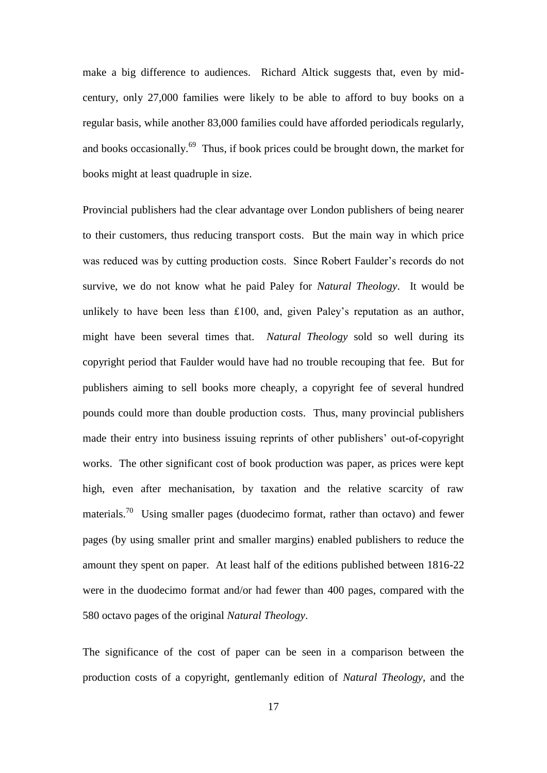make a big difference to audiences. Richard Altick suggests that, even by midcentury, only 27,000 families were likely to be able to afford to buy books on a regular basis, while another 83,000 families could have afforded periodicals regularly, and books occasionally.<sup>69</sup> Thus, if book prices could be brought down, the market for books might at least quadruple in size.

Provincial publishers had the clear advantage over London publishers of being nearer to their customers, thus reducing transport costs. But the main way in which price was reduced was by cutting production costs. Since Robert Faulder's records do not survive, we do not know what he paid Paley for *Natural Theology*. It would be unlikely to have been less than £100, and, given Paley's reputation as an author, might have been several times that. *Natural Theology* sold so well during its copyright period that Faulder would have had no trouble recouping that fee. But for publishers aiming to sell books more cheaply, a copyright fee of several hundred pounds could more than double production costs. Thus, many provincial publishers made their entry into business issuing reprints of other publishers' out-of-copyright works. The other significant cost of book production was paper, as prices were kept high, even after mechanisation, by taxation and the relative scarcity of raw materials.<sup>70</sup> Using smaller pages (duodecimo format, rather than octavo) and fewer pages (by using smaller print and smaller margins) enabled publishers to reduce the amount they spent on paper. At least half of the editions published between 1816-22 were in the duodecimo format and/or had fewer than 400 pages, compared with the 580 octavo pages of the original *Natural Theology*.

The significance of the cost of paper can be seen in a comparison between the production costs of a copyright, gentlemanly edition of *Natural Theology*, and the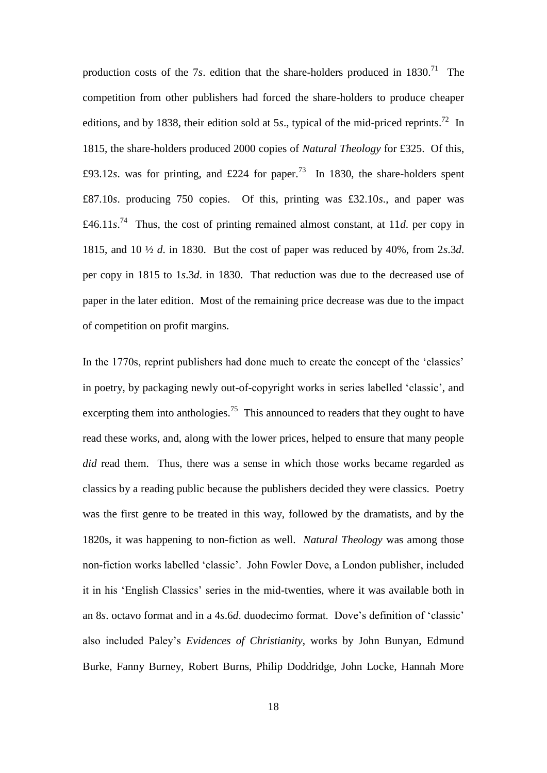production costs of the  $7s$ . edition that the share-holders produced in  $1830$ <sup>71</sup>. The competition from other publishers had forced the share-holders to produce cheaper editions, and by 1838, their edition sold at 5 $s$ ., typical of the mid-priced reprints.<sup>72</sup> In 1815, the share-holders produced 2000 copies of *Natural Theology* for £325. Of this, £93.12*s*. was for printing, and £224 for paper.<sup>73</sup> In 1830, the share-holders spent £87.10*s*. producing 750 copies. Of this, printing was £32.10*s*., and paper was £46.11 $s^{74}$  Thus, the cost of printing remained almost constant, at 11*d*. per copy in 1815, and 10 ½ *d*. in 1830. But the cost of paper was reduced by 40%, from 2*s*.3*d*. per copy in 1815 to 1*s*.3*d*. in 1830. That reduction was due to the decreased use of paper in the later edition. Most of the remaining price decrease was due to the impact of competition on profit margins.

In the 1770s, reprint publishers had done much to create the concept of the 'classics' in poetry, by packaging newly out-of-copyright works in series labelled 'classic', and excerpting them into anthologies.<sup>75</sup> This announced to readers that they ought to have read these works, and, along with the lower prices, helped to ensure that many people *did* read them. Thus, there was a sense in which those works became regarded as classics by a reading public because the publishers decided they were classics. Poetry was the first genre to be treated in this way, followed by the dramatists, and by the 1820s, it was happening to non-fiction as well. *Natural Theology* was among those non-fiction works labelled 'classic'. John Fowler Dove, a London publisher, included it in his 'English Classics' series in the mid-twenties, where it was available both in an 8*s*. octavo format and in a 4*s*.6*d*. duodecimo format. Dove's definition of 'classic' also included Paley's *Evidences of Christianity*, works by John Bunyan, Edmund Burke, Fanny Burney, Robert Burns, Philip Doddridge, John Locke, Hannah More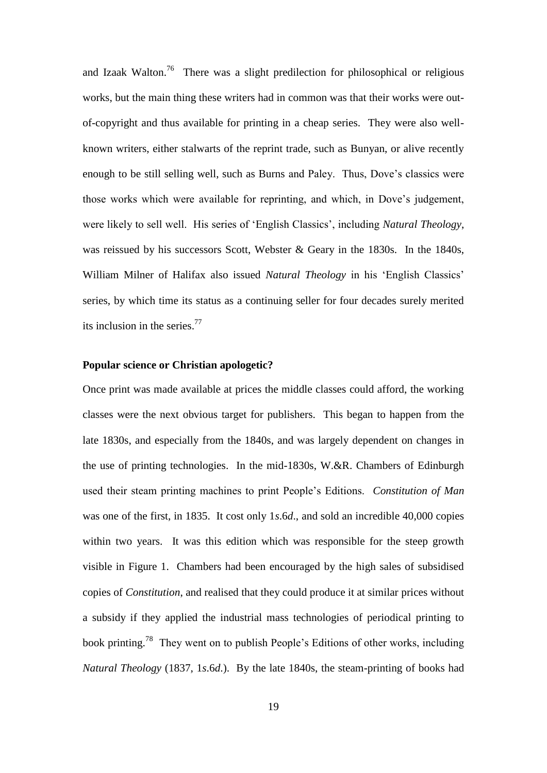and Izaak Walton.<sup>76</sup> There was a slight predilection for philosophical or religious works, but the main thing these writers had in common was that their works were outof-copyright and thus available for printing in a cheap series. They were also wellknown writers, either stalwarts of the reprint trade, such as Bunyan, or alive recently enough to be still selling well, such as Burns and Paley. Thus, Dove's classics were those works which were available for reprinting, and which, in Dove's judgement, were likely to sell well. His series of 'English Classics', including *Natural Theology*, was reissued by his successors Scott, Webster & Geary in the 1830s. In the 1840s, William Milner of Halifax also issued *Natural Theology* in his 'English Classics' series, by which time its status as a continuing seller for four decades surely merited its inclusion in the series.<sup>77</sup>

#### **Popular science or Christian apologetic?**

Once print was made available at prices the middle classes could afford, the working classes were the next obvious target for publishers. This began to happen from the late 1830s, and especially from the 1840s, and was largely dependent on changes in the use of printing technologies. In the mid-1830s, W.&R. Chambers of Edinburgh used their steam printing machines to print People's Editions. *Constitution of Man* was one of the first, in 1835. It cost only 1*s*.6*d*., and sold an incredible 40,000 copies within two years. It was this edition which was responsible for the steep growth visible in Figure 1. Chambers had been encouraged by the high sales of subsidised copies of *Constitution*, and realised that they could produce it at similar prices without a subsidy if they applied the industrial mass technologies of periodical printing to book printing.<sup>78</sup> They went on to publish People's Editions of other works, including *Natural Theology* (1837, 1*s*.6*d*.). By the late 1840s, the steam-printing of books had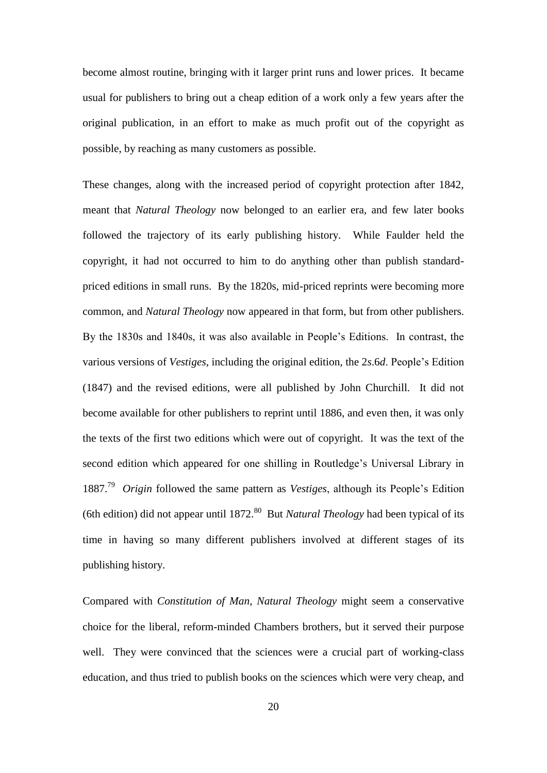become almost routine, bringing with it larger print runs and lower prices. It became usual for publishers to bring out a cheap edition of a work only a few years after the original publication, in an effort to make as much profit out of the copyright as possible, by reaching as many customers as possible.

These changes, along with the increased period of copyright protection after 1842, meant that *Natural Theology* now belonged to an earlier era, and few later books followed the trajectory of its early publishing history. While Faulder held the copyright, it had not occurred to him to do anything other than publish standardpriced editions in small runs. By the 1820s, mid-priced reprints were becoming more common, and *Natural Theology* now appeared in that form, but from other publishers. By the 1830s and 1840s, it was also available in People's Editions. In contrast, the various versions of *Vestiges*, including the original edition, the 2*s*.6*d*. People's Edition (1847) and the revised editions, were all published by John Churchill. It did not become available for other publishers to reprint until 1886, and even then, it was only the texts of the first two editions which were out of copyright. It was the text of the second edition which appeared for one shilling in Routledge's Universal Library in 1887.<sup>79</sup> *Origin* followed the same pattern as *Vestiges*, although its People's Edition (6th edition) did not appear until 1872.<sup>80</sup> But *Natural Theology* had been typical of its time in having so many different publishers involved at different stages of its publishing history.

Compared with *Constitution of Man*, *Natural Theology* might seem a conservative choice for the liberal, reform-minded Chambers brothers, but it served their purpose well. They were convinced that the sciences were a crucial part of working-class education, and thus tried to publish books on the sciences which were very cheap, and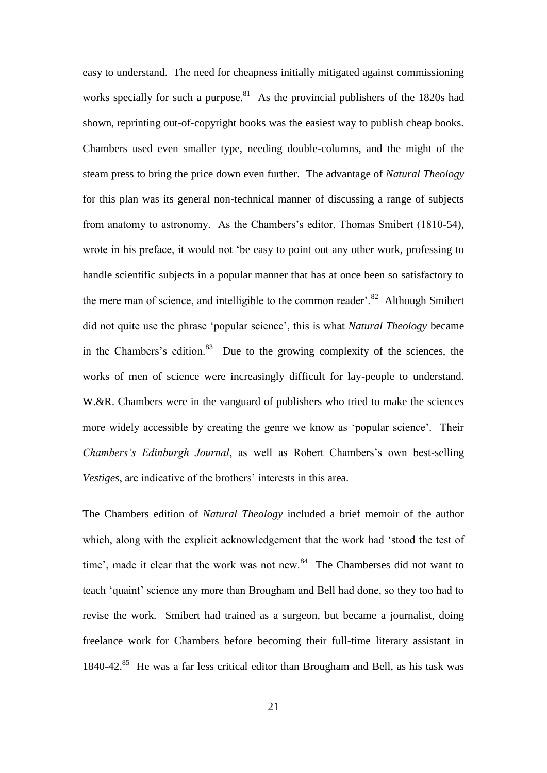easy to understand. The need for cheapness initially mitigated against commissioning works specially for such a purpose.<sup>81</sup> As the provincial publishers of the 1820s had shown, reprinting out-of-copyright books was the easiest way to publish cheap books. Chambers used even smaller type, needing double-columns, and the might of the steam press to bring the price down even further. The advantage of *Natural Theology* for this plan was its general non-technical manner of discussing a range of subjects from anatomy to astronomy. As the Chambers's editor, Thomas Smibert (1810-54), wrote in his preface, it would not 'be easy to point out any other work, professing to handle scientific subjects in a popular manner that has at once been so satisfactory to the mere man of science, and intelligible to the common reader'.<sup>82</sup> Although Smibert did not quite use the phrase 'popular science', this is what *Natural Theology* became in the Chambers's edition. $83$  Due to the growing complexity of the sciences, the works of men of science were increasingly difficult for lay-people to understand. W.&R. Chambers were in the vanguard of publishers who tried to make the sciences more widely accessible by creating the genre we know as 'popular science'. Their *Chambers's Edinburgh Journal*, as well as Robert Chambers's own best-selling *Vestiges*, are indicative of the brothers' interests in this area.

The Chambers edition of *Natural Theology* included a brief memoir of the author which, along with the explicit acknowledgement that the work had 'stood the test of time', made it clear that the work was not new.<sup>84</sup> The Chamberses did not want to teach 'quaint' science any more than Brougham and Bell had done, so they too had to revise the work. Smibert had trained as a surgeon, but became a journalist, doing freelance work for Chambers before becoming their full-time literary assistant in 1840-42.<sup>85</sup> He was a far less critical editor than Brougham and Bell, as his task was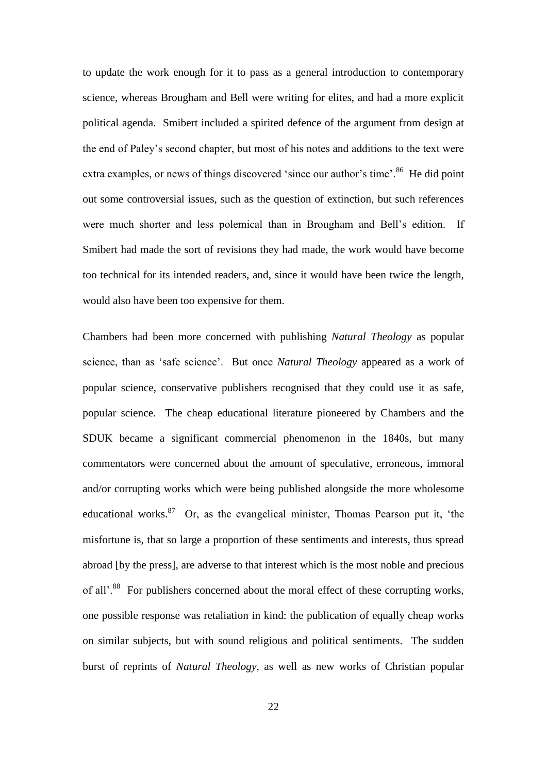to update the work enough for it to pass as a general introduction to contemporary science, whereas Brougham and Bell were writing for elites, and had a more explicit political agenda. Smibert included a spirited defence of the argument from design at the end of Paley's second chapter, but most of his notes and additions to the text were extra examples, or news of things discovered 'since our author's time'.<sup>86</sup> He did point out some controversial issues, such as the question of extinction, but such references were much shorter and less polemical than in Brougham and Bell's edition. If Smibert had made the sort of revisions they had made, the work would have become too technical for its intended readers, and, since it would have been twice the length, would also have been too expensive for them.

Chambers had been more concerned with publishing *Natural Theology* as popular science, than as 'safe science'. But once *Natural Theology* appeared as a work of popular science, conservative publishers recognised that they could use it as safe, popular science. The cheap educational literature pioneered by Chambers and the SDUK became a significant commercial phenomenon in the 1840s, but many commentators were concerned about the amount of speculative, erroneous, immoral and/or corrupting works which were being published alongside the more wholesome educational works.<sup>87</sup> Or, as the evangelical minister, Thomas Pearson put it, 'the misfortune is, that so large a proportion of these sentiments and interests, thus spread abroad [by the press], are adverse to that interest which is the most noble and precious of all'.<sup>88</sup> For publishers concerned about the moral effect of these corrupting works, one possible response was retaliation in kind: the publication of equally cheap works on similar subjects, but with sound religious and political sentiments. The sudden burst of reprints of *Natural Theology*, as well as new works of Christian popular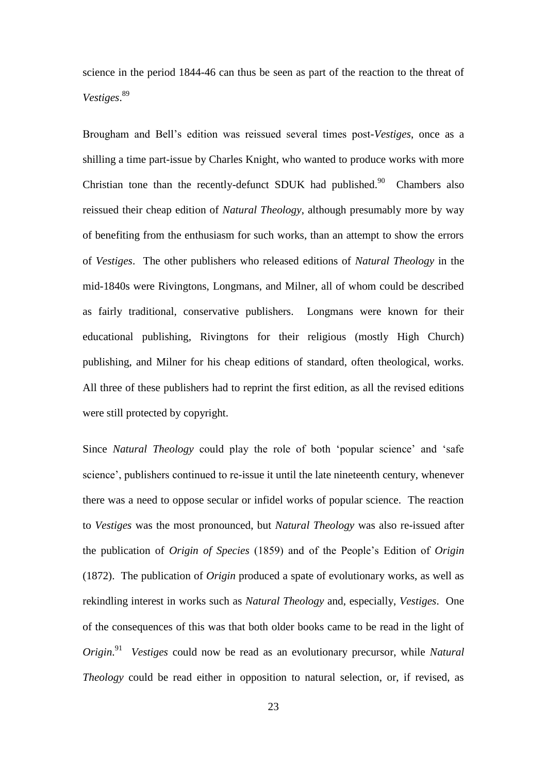science in the period 1844-46 can thus be seen as part of the reaction to the threat of *Vestiges*. 89

Brougham and Bell's edition was reissued several times post-*Vestiges*, once as a shilling a time part-issue by Charles Knight, who wanted to produce works with more Christian tone than the recently-defunct SDUK had published.<sup>90</sup> Chambers also reissued their cheap edition of *Natural Theology*, although presumably more by way of benefiting from the enthusiasm for such works, than an attempt to show the errors of *Vestiges*. The other publishers who released editions of *Natural Theology* in the mid-1840s were Rivingtons, Longmans, and Milner, all of whom could be described as fairly traditional, conservative publishers. Longmans were known for their educational publishing, Rivingtons for their religious (mostly High Church) publishing, and Milner for his cheap editions of standard, often theological, works. All three of these publishers had to reprint the first edition, as all the revised editions were still protected by copyright.

Since *Natural Theology* could play the role of both 'popular science' and 'safe science', publishers continued to re-issue it until the late nineteenth century, whenever there was a need to oppose secular or infidel works of popular science. The reaction to *Vestiges* was the most pronounced, but *Natural Theology* was also re-issued after the publication of *Origin of Species* (1859) and of the People's Edition of *Origin* (1872). The publication of *Origin* produced a spate of evolutionary works, as well as rekindling interest in works such as *Natural Theology* and, especially, *Vestiges*. One of the consequences of this was that both older books came to be read in the light of *Origin*. 91 *Vestiges* could now be read as an evolutionary precursor, while *Natural Theology* could be read either in opposition to natural selection, or, if revised, as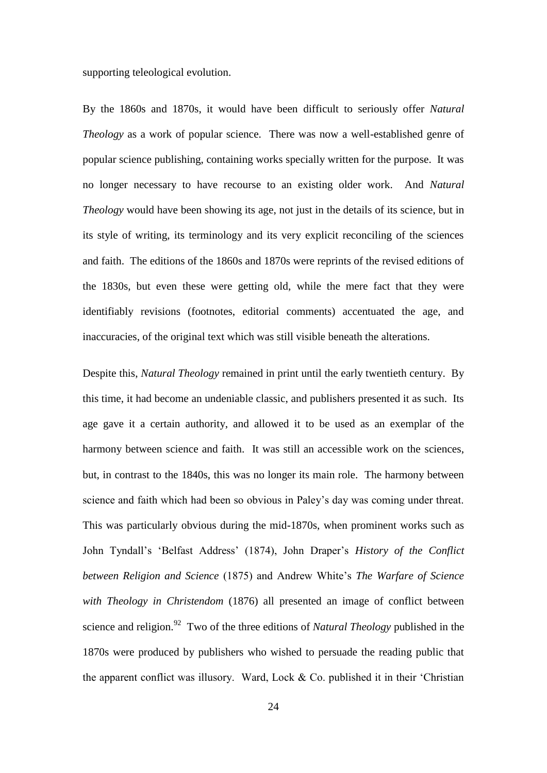supporting teleological evolution.

By the 1860s and 1870s, it would have been difficult to seriously offer *Natural Theology* as a work of popular science. There was now a well-established genre of popular science publishing, containing works specially written for the purpose. It was no longer necessary to have recourse to an existing older work. And *Natural Theology* would have been showing its age, not just in the details of its science, but in its style of writing, its terminology and its very explicit reconciling of the sciences and faith. The editions of the 1860s and 1870s were reprints of the revised editions of the 1830s, but even these were getting old, while the mere fact that they were identifiably revisions (footnotes, editorial comments) accentuated the age, and inaccuracies, of the original text which was still visible beneath the alterations.

Despite this, *Natural Theology* remained in print until the early twentieth century. By this time, it had become an undeniable classic, and publishers presented it as such. Its age gave it a certain authority, and allowed it to be used as an exemplar of the harmony between science and faith. It was still an accessible work on the sciences, but, in contrast to the 1840s, this was no longer its main role. The harmony between science and faith which had been so obvious in Paley's day was coming under threat. This was particularly obvious during the mid-1870s, when prominent works such as John Tyndall's 'Belfast Address' (1874), John Draper's *History of the Conflict between Religion and Science* (1875) and Andrew White's *The Warfare of Science with Theology in Christendom* (1876) all presented an image of conflict between science and religion.<sup>92</sup> Two of the three editions of *Natural Theology* published in the 1870s were produced by publishers who wished to persuade the reading public that the apparent conflict was illusory. Ward, Lock & Co. published it in their 'Christian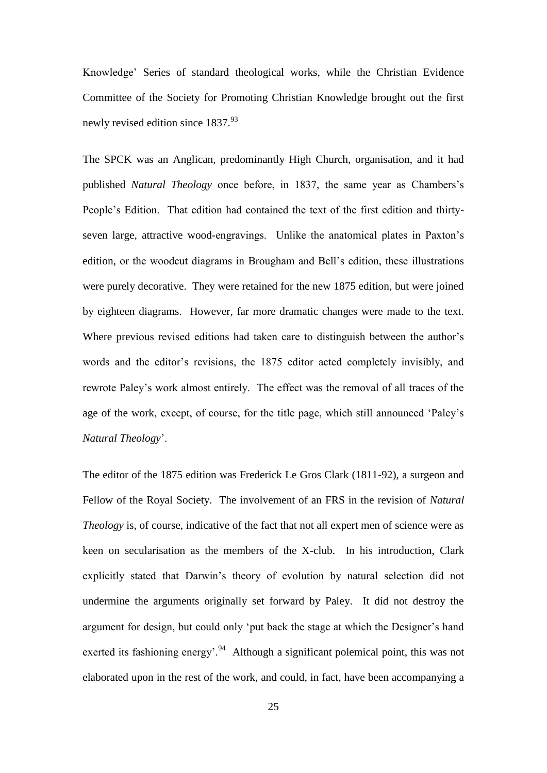Knowledge' Series of standard theological works, while the Christian Evidence Committee of the Society for Promoting Christian Knowledge brought out the first newly revised edition since 1837.<sup>93</sup>

The SPCK was an Anglican, predominantly High Church, organisation, and it had published *Natural Theology* once before, in 1837, the same year as Chambers's People's Edition. That edition had contained the text of the first edition and thirtyseven large, attractive wood-engravings. Unlike the anatomical plates in Paxton's edition, or the woodcut diagrams in Brougham and Bell's edition, these illustrations were purely decorative. They were retained for the new 1875 edition, but were joined by eighteen diagrams. However, far more dramatic changes were made to the text. Where previous revised editions had taken care to distinguish between the author's words and the editor's revisions, the 1875 editor acted completely invisibly, and rewrote Paley's work almost entirely. The effect was the removal of all traces of the age of the work, except, of course, for the title page, which still announced 'Paley's *Natural Theology*'.

The editor of the 1875 edition was Frederick Le Gros Clark (1811-92), a surgeon and Fellow of the Royal Society. The involvement of an FRS in the revision of *Natural Theology* is, of course, indicative of the fact that not all expert men of science were as keen on secularisation as the members of the X-club. In his introduction, Clark explicitly stated that Darwin's theory of evolution by natural selection did not undermine the arguments originally set forward by Paley. It did not destroy the argument for design, but could only 'put back the stage at which the Designer's hand exerted its fashioning energy'.<sup>94</sup> Although a significant polemical point, this was not elaborated upon in the rest of the work, and could, in fact, have been accompanying a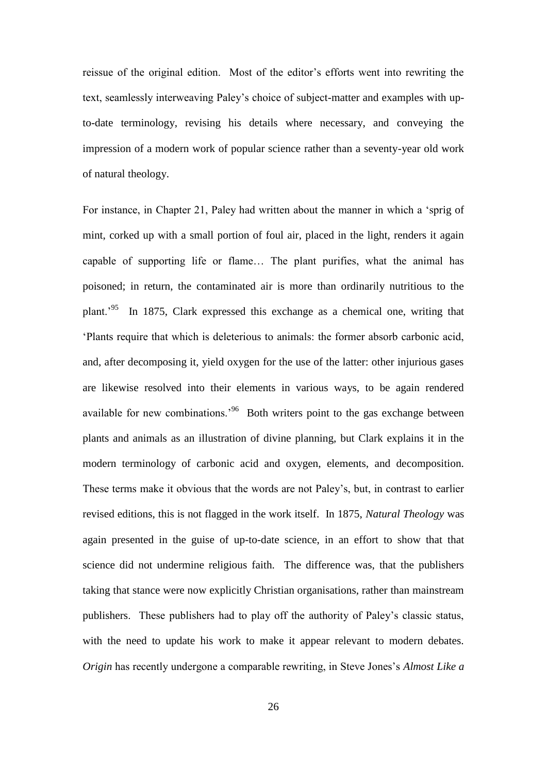reissue of the original edition. Most of the editor's efforts went into rewriting the text, seamlessly interweaving Paley's choice of subject-matter and examples with upto-date terminology, revising his details where necessary, and conveying the impression of a modern work of popular science rather than a seventy-year old work of natural theology.

For instance, in Chapter 21, Paley had written about the manner in which a 'sprig of mint, corked up with a small portion of foul air, placed in the light, renders it again capable of supporting life or flame… The plant purifies, what the animal has poisoned; in return, the contaminated air is more than ordinarily nutritious to the plant.<sup>'95</sup> In 1875, Clark expressed this exchange as a chemical one, writing that 'Plants require that which is deleterious to animals: the former absorb carbonic acid, and, after decomposing it, yield oxygen for the use of the latter: other injurious gases are likewise resolved into their elements in various ways, to be again rendered available for new combinations.<sup>96</sup> Both writers point to the gas exchange between plants and animals as an illustration of divine planning, but Clark explains it in the modern terminology of carbonic acid and oxygen, elements, and decomposition. These terms make it obvious that the words are not Paley's, but, in contrast to earlier revised editions, this is not flagged in the work itself. In 1875, *Natural Theology* was again presented in the guise of up-to-date science, in an effort to show that that science did not undermine religious faith. The difference was, that the publishers taking that stance were now explicitly Christian organisations, rather than mainstream publishers. These publishers had to play off the authority of Paley's classic status, with the need to update his work to make it appear relevant to modern debates. *Origin* has recently undergone a comparable rewriting, in Steve Jones's *Almost Like a*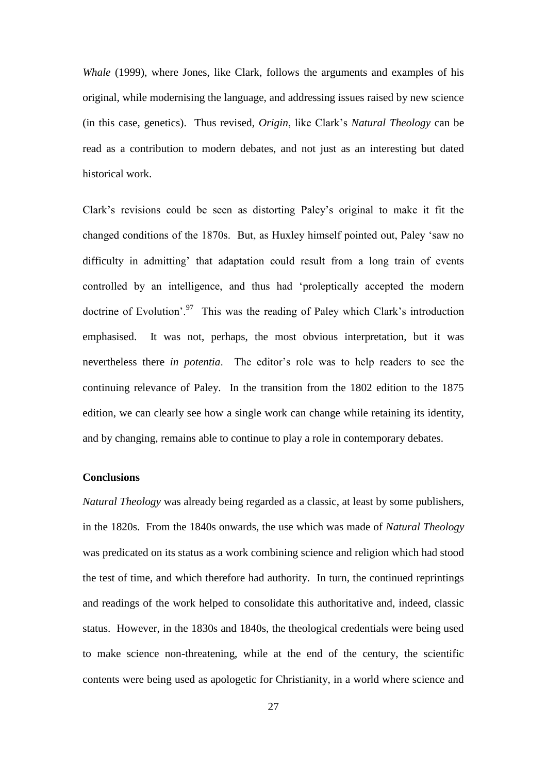*Whale* (1999), where Jones, like Clark, follows the arguments and examples of his original, while modernising the language, and addressing issues raised by new science (in this case, genetics). Thus revised, *Origin*, like Clark's *Natural Theology* can be read as a contribution to modern debates, and not just as an interesting but dated historical work.

Clark's revisions could be seen as distorting Paley's original to make it fit the changed conditions of the 1870s. But, as Huxley himself pointed out, Paley 'saw no difficulty in admitting' that adaptation could result from a long train of events controlled by an intelligence, and thus had 'proleptically accepted the modern doctrine of Evolution'. $97$  This was the reading of Paley which Clark's introduction emphasised. It was not, perhaps, the most obvious interpretation, but it was nevertheless there *in potentia*. The editor's role was to help readers to see the continuing relevance of Paley. In the transition from the 1802 edition to the 1875 edition, we can clearly see how a single work can change while retaining its identity, and by changing, remains able to continue to play a role in contemporary debates.

#### **Conclusions**

*Natural Theology* was already being regarded as a classic, at least by some publishers, in the 1820s. From the 1840s onwards, the use which was made of *Natural Theology* was predicated on its status as a work combining science and religion which had stood the test of time, and which therefore had authority. In turn, the continued reprintings and readings of the work helped to consolidate this authoritative and, indeed, classic status. However, in the 1830s and 1840s, the theological credentials were being used to make science non-threatening, while at the end of the century, the scientific contents were being used as apologetic for Christianity, in a world where science and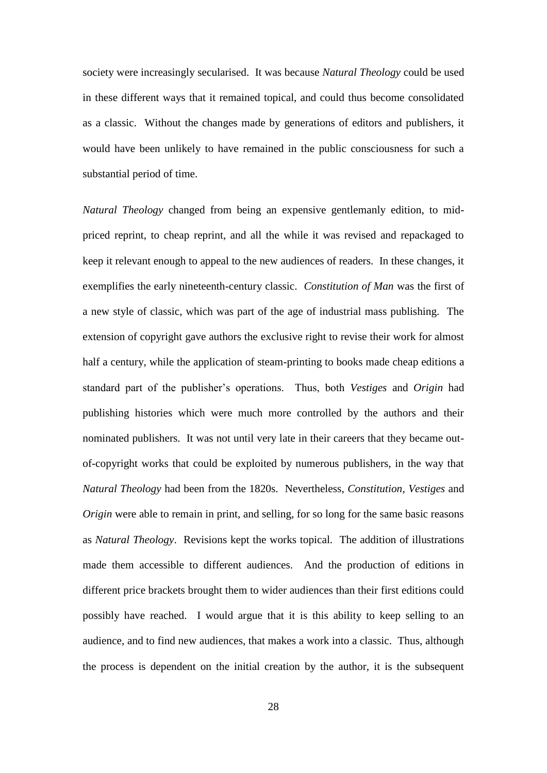society were increasingly secularised. It was because *Natural Theology* could be used in these different ways that it remained topical, and could thus become consolidated as a classic. Without the changes made by generations of editors and publishers, it would have been unlikely to have remained in the public consciousness for such a substantial period of time.

*Natural Theology* changed from being an expensive gentlemanly edition, to midpriced reprint, to cheap reprint, and all the while it was revised and repackaged to keep it relevant enough to appeal to the new audiences of readers. In these changes, it exemplifies the early nineteenth-century classic. *Constitution of Man* was the first of a new style of classic, which was part of the age of industrial mass publishing. The extension of copyright gave authors the exclusive right to revise their work for almost half a century, while the application of steam-printing to books made cheap editions a standard part of the publisher's operations. Thus, both *Vestiges* and *Origin* had publishing histories which were much more controlled by the authors and their nominated publishers. It was not until very late in their careers that they became outof-copyright works that could be exploited by numerous publishers, in the way that *Natural Theology* had been from the 1820s. Nevertheless, *Constitution*, *Vestiges* and *Origin* were able to remain in print, and selling, for so long for the same basic reasons as *Natural Theology*. Revisions kept the works topical. The addition of illustrations made them accessible to different audiences. And the production of editions in different price brackets brought them to wider audiences than their first editions could possibly have reached. I would argue that it is this ability to keep selling to an audience, and to find new audiences, that makes a work into a classic. Thus, although the process is dependent on the initial creation by the author, it is the subsequent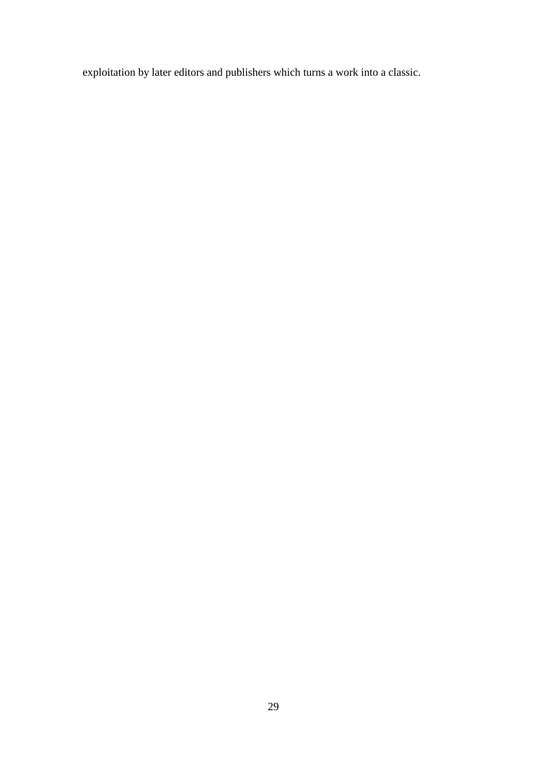exploitation by later editors and publishers which turns a work into a classic.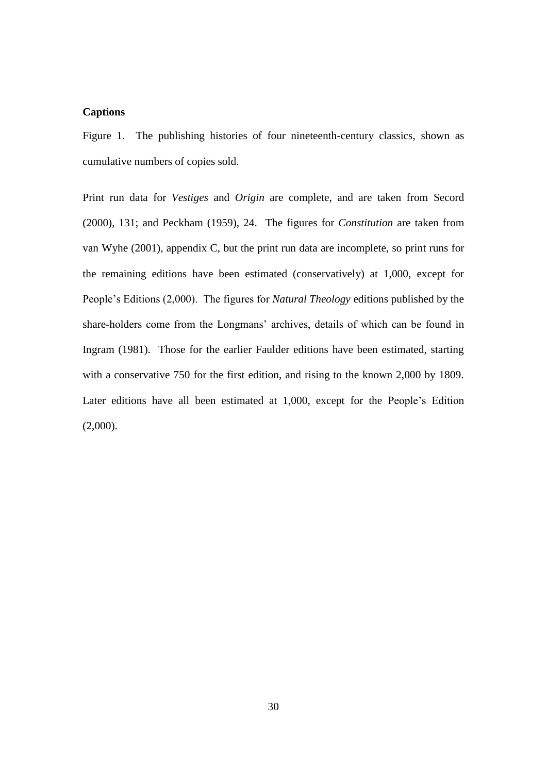#### **Captions**

Figure 1. The publishing histories of four nineteenth-century classics, shown as cumulative numbers of copies sold.

Print run data for *Vestiges* and *Origin* are complete, and are taken from Secord (2000), 131; and Peckham (1959), 24. The figures for *Constitution* are taken from van Wyhe (2001), appendix C, but the print run data are incomplete, so print runs for the remaining editions have been estimated (conservatively) at 1,000, except for People's Editions (2,000). The figures for *Natural Theology* editions published by the share-holders come from the Longmans' archives, details of which can be found in Ingram (1981). Those for the earlier Faulder editions have been estimated, starting with a conservative 750 for the first edition, and rising to the known 2,000 by 1809. Later editions have all been estimated at 1,000, except for the People's Edition (2,000).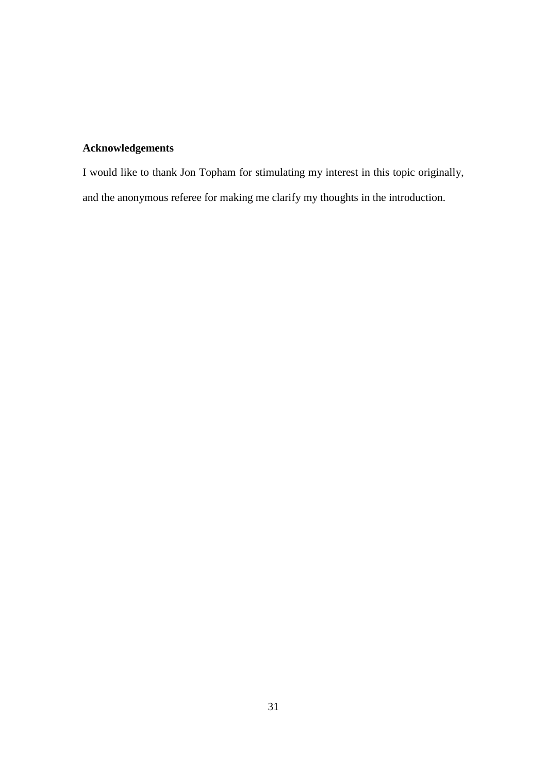## **Acknowledgements**

I would like to thank Jon Topham for stimulating my interest in this topic originally, and the anonymous referee for making me clarify my thoughts in the introduction.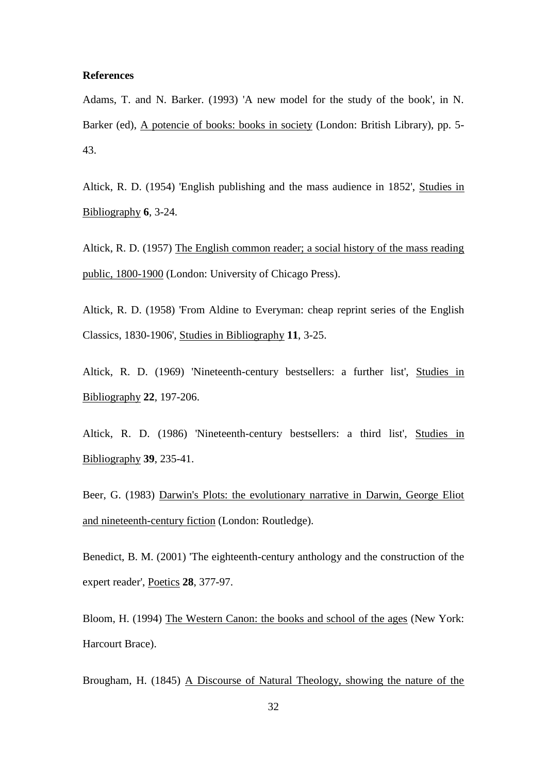#### **References**

Adams, T. and N. Barker. (1993) 'A new model for the study of the book', in N. Barker (ed), A potencie of books: books in society (London: British Library), pp. 5- 43.

Altick, R. D. (1954) 'English publishing and the mass audience in 1852', Studies in Bibliography **6**, 3-24.

Altick, R. D. (1957) The English common reader; a social history of the mass reading public, 1800-1900 (London: University of Chicago Press).

Altick, R. D. (1958) 'From Aldine to Everyman: cheap reprint series of the English Classics, 1830-1906', Studies in Bibliography **11**, 3-25.

Altick, R. D. (1969) 'Nineteenth-century bestsellers: a further list', Studies in Bibliography **22**, 197-206.

Altick, R. D. (1986) 'Nineteenth-century bestsellers: a third list', Studies in Bibliography **39**, 235-41.

Beer, G. (1983) Darwin's Plots: the evolutionary narrative in Darwin, George Eliot and nineteenth-century fiction (London: Routledge).

Benedict, B. M. (2001) 'The eighteenth-century anthology and the construction of the expert reader', Poetics **28**, 377-97.

Bloom, H. (1994) The Western Canon: the books and school of the ages (New York: Harcourt Brace).

Brougham, H. (1845) A Discourse of Natural Theology, showing the nature of the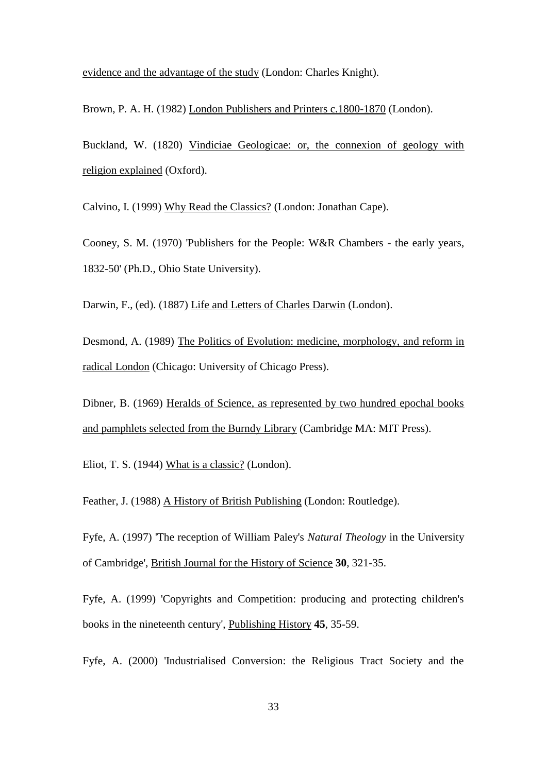evidence and the advantage of the study (London: Charles Knight).

Brown, P. A. H. (1982) London Publishers and Printers c.1800-1870 (London).

Buckland, W. (1820) Vindiciae Geologicae: or, the connexion of geology with religion explained (Oxford).

Calvino, I. (1999) Why Read the Classics? (London: Jonathan Cape).

Cooney, S. M. (1970) 'Publishers for the People: W&R Chambers - the early years, 1832-50' (Ph.D., Ohio State University).

Darwin, F., (ed). (1887) Life and Letters of Charles Darwin (London).

Desmond, A. (1989) The Politics of Evolution: medicine, morphology, and reform in radical London (Chicago: University of Chicago Press).

Dibner, B. (1969) Heralds of Science, as represented by two hundred epochal books and pamphlets selected from the Burndy Library (Cambridge MA: MIT Press).

Eliot, T. S. (1944) What is a classic? (London).

Feather, J. (1988) A History of British Publishing (London: Routledge).

Fyfe, A. (1997) 'The reception of William Paley's *Natural Theology* in the University of Cambridge', British Journal for the History of Science **30**, 321-35.

Fyfe, A. (1999) 'Copyrights and Competition: producing and protecting children's books in the nineteenth century', Publishing History **45**, 35-59.

Fyfe, A. (2000) 'Industrialised Conversion: the Religious Tract Society and the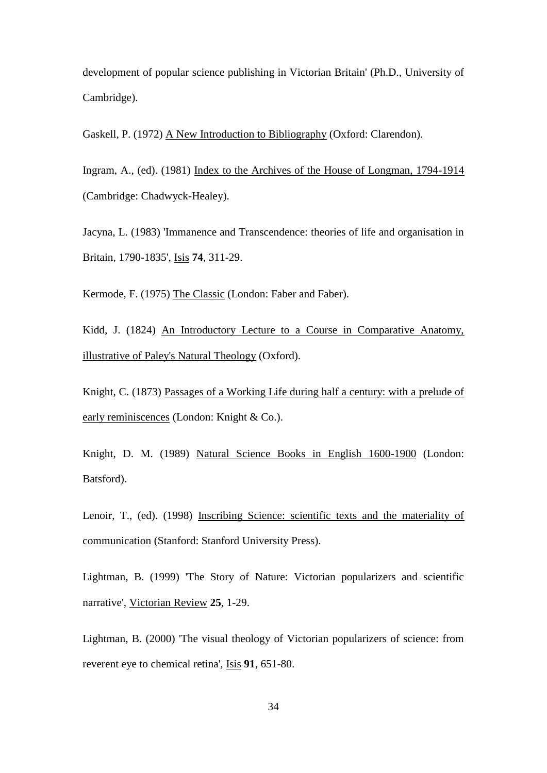development of popular science publishing in Victorian Britain' (Ph.D., University of Cambridge).

Gaskell, P. (1972) A New Introduction to Bibliography (Oxford: Clarendon).

Ingram, A., (ed). (1981) Index to the Archives of the House of Longman, 1794-1914 (Cambridge: Chadwyck-Healey).

Jacyna, L. (1983) 'Immanence and Transcendence: theories of life and organisation in Britain, 1790-1835', Isis **74**, 311-29.

Kermode, F. (1975) The Classic (London: Faber and Faber).

Kidd, J. (1824) An Introductory Lecture to a Course in Comparative Anatomy, illustrative of Paley's Natural Theology (Oxford).

Knight, C. (1873) Passages of a Working Life during half a century: with a prelude of early reminiscences (London: Knight & Co.).

Knight, D. M. (1989) Natural Science Books in English 1600-1900 (London: Batsford).

Lenoir, T., (ed). (1998) Inscribing Science: scientific texts and the materiality of communication (Stanford: Stanford University Press).

Lightman, B. (1999) 'The Story of Nature: Victorian popularizers and scientific narrative', Victorian Review **25**, 1-29.

Lightman, B. (2000) 'The visual theology of Victorian popularizers of science: from reverent eye to chemical retina', Isis **91**, 651-80.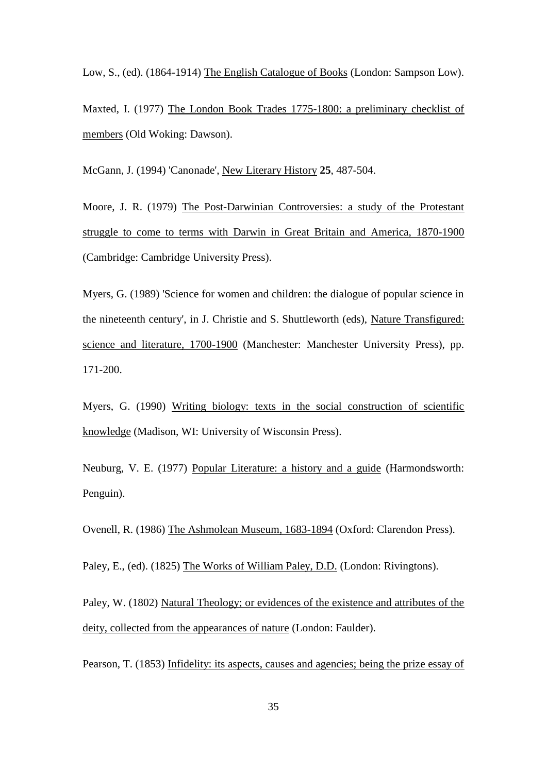Low, S., (ed). (1864-1914) The English Catalogue of Books (London: Sampson Low).

Maxted, I. (1977) The London Book Trades 1775-1800: a preliminary checklist of members (Old Woking: Dawson).

McGann, J. (1994) 'Canonade', New Literary History **25**, 487-504.

Moore, J. R. (1979) The Post-Darwinian Controversies: a study of the Protestant struggle to come to terms with Darwin in Great Britain and America, 1870-1900 (Cambridge: Cambridge University Press).

Myers, G. (1989) 'Science for women and children: the dialogue of popular science in the nineteenth century', in J. Christie and S. Shuttleworth (eds), Nature Transfigured: science and literature, 1700-1900 (Manchester: Manchester University Press), pp. 171-200.

Myers, G. (1990) Writing biology: texts in the social construction of scientific knowledge (Madison, WI: University of Wisconsin Press).

Neuburg, V. E. (1977) Popular Literature: a history and a guide (Harmondsworth: Penguin).

Ovenell, R. (1986) The Ashmolean Museum, 1683-1894 (Oxford: Clarendon Press).

Paley, E., (ed). (1825) The Works of William Paley, D.D. (London: Rivingtons).

Paley, W. (1802) Natural Theology; or evidences of the existence and attributes of the deity, collected from the appearances of nature (London: Faulder).

Pearson, T. (1853) Infidelity: its aspects, causes and agencies; being the prize essay of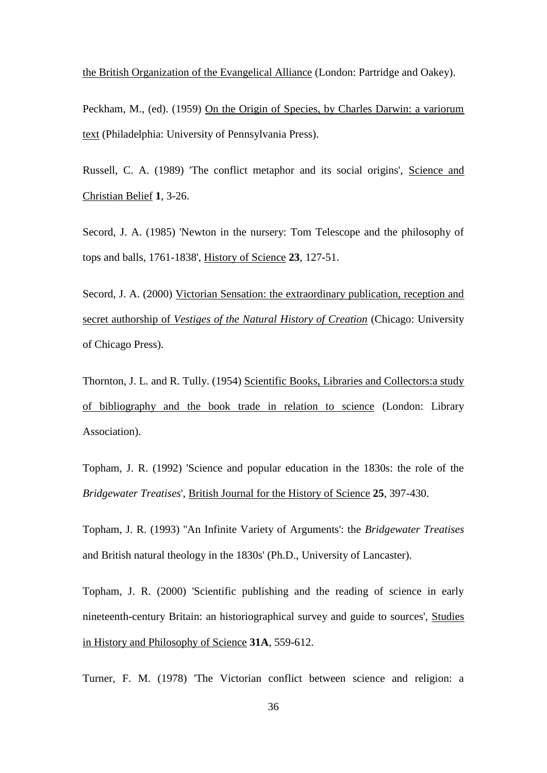the British Organization of the Evangelical Alliance (London: Partridge and Oakey).

Peckham, M., (ed). (1959) On the Origin of Species, by Charles Darwin: a variorum text (Philadelphia: University of Pennsylvania Press).

Russell, C. A. (1989) 'The conflict metaphor and its social origins', Science and Christian Belief **1**, 3-26.

Secord, J. A. (1985) 'Newton in the nursery: Tom Telescope and the philosophy of tops and balls, 1761-1838', History of Science **23**, 127-51.

Secord, J. A. (2000) Victorian Sensation: the extraordinary publication, reception and secret authorship of *Vestiges of the Natural History of Creation* (Chicago: University of Chicago Press).

Thornton, J. L. and R. Tully. (1954) Scientific Books, Libraries and Collectors:a study of bibliography and the book trade in relation to science (London: Library Association).

Topham, J. R. (1992) 'Science and popular education in the 1830s: the role of the *Bridgewater Treatises*', British Journal for the History of Science **25**, 397-430.

Topham, J. R. (1993) ''An Infinite Variety of Arguments': the *Bridgewater Treatises* and British natural theology in the 1830s' (Ph.D., University of Lancaster).

Topham, J. R. (2000) 'Scientific publishing and the reading of science in early nineteenth-century Britain: an historiographical survey and guide to sources', Studies in History and Philosophy of Science **31A**, 559-612.

Turner, F. M. (1978) 'The Victorian conflict between science and religion: a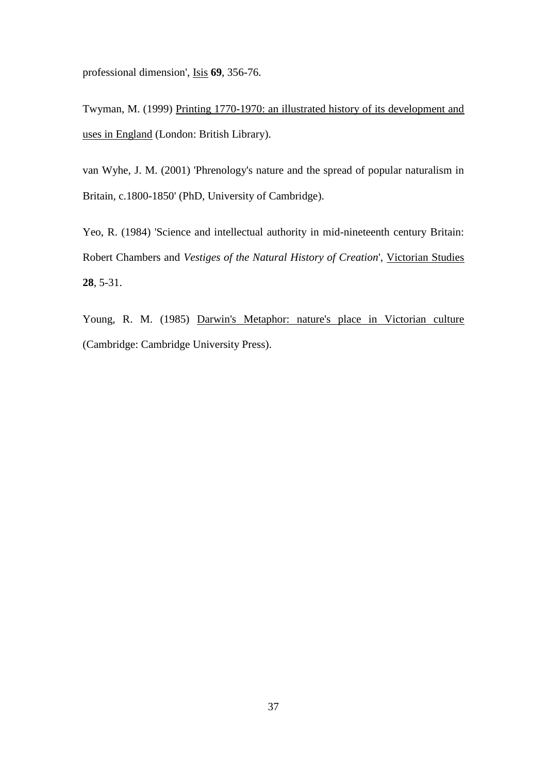professional dimension', Isis **69**, 356-76.

Twyman, M. (1999) Printing 1770-1970: an illustrated history of its development and uses in England (London: British Library).

van Wyhe, J. M. (2001) 'Phrenology's nature and the spread of popular naturalism in Britain, c.1800-1850' (PhD, University of Cambridge).

Yeo, R. (1984) 'Science and intellectual authority in mid-nineteenth century Britain: Robert Chambers and *Vestiges of the Natural History of Creation*', Victorian Studies **28**, 5-31.

Young, R. M. (1985) Darwin's Metaphor: nature's place in Victorian culture (Cambridge: Cambridge University Press).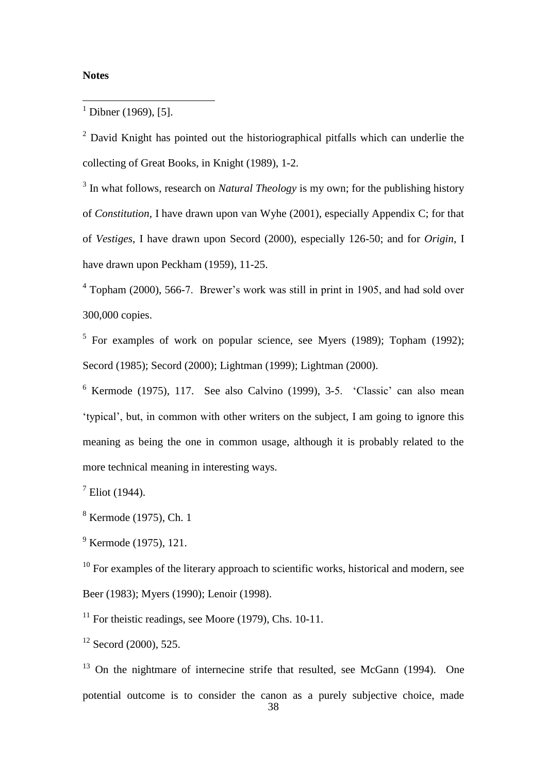#### **Notes**

<u>.</u>

<sup>2</sup> David Knight has pointed out the historiographical pitfalls which can underlie the collecting of Great Books, in Knight (1989), 1-2.

<sup>3</sup> In what follows, research on *Natural Theology* is my own; for the publishing history of *Constitution*, I have drawn upon van Wyhe (2001), especially Appendix C; for that of *Vestiges*, I have drawn upon Secord (2000), especially 126-50; and for *Origin*, I have drawn upon Peckham (1959), 11-25.

<sup>4</sup> Topham (2000), 566-7. Brewer's work was still in print in 1905, and had sold over 300,000 copies.

<sup>5</sup> For examples of work on popular science, see Myers (1989); Topham (1992); Secord (1985); Secord (2000); Lightman (1999); Lightman (2000).

 $6$  Kermode (1975), 117. See also Calvino (1999), 3-5.  $°$ Classic $°$  can also mean 'typical', but, in common with other writers on the subject, I am going to ignore this meaning as being the one in common usage, although it is probably related to the more technical meaning in interesting ways.

 $7$  Eliot (1944).

<sup>8</sup> Kermode (1975), Ch. 1

<sup>9</sup> Kermode (1975), 121.

 $10$  For examples of the literary approach to scientific works, historical and modern, see Beer (1983); Myers (1990); Lenoir (1998).

 $11$  For theistic readings, see Moore (1979), Chs. 10-11.

 $12$  Secord (2000), 525.

 $13$  On the nightmare of internecine strife that resulted, see McGann (1994). One potential outcome is to consider the canon as a purely subjective choice, made

 $1$  Dibner (1969), [5].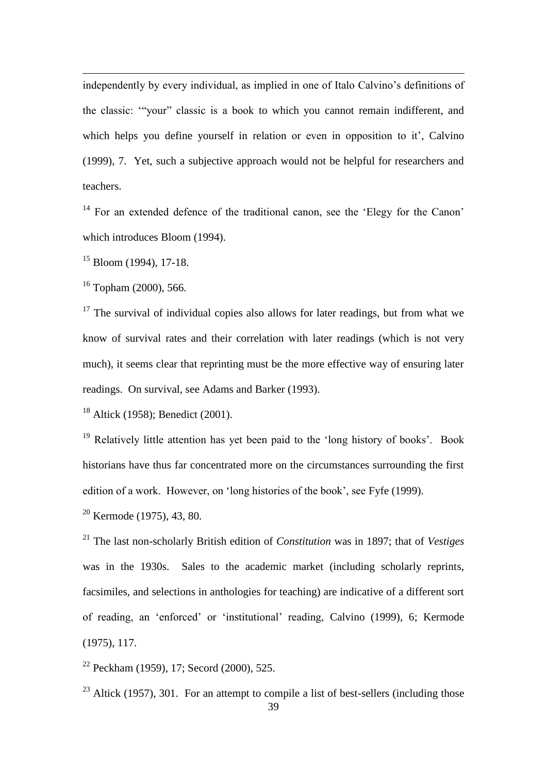independently by every individual, as implied in one of Italo Calvino's definitions of the classic: '"your" classic is a book to which you cannot remain indifferent, and which helps you define yourself in relation or even in opposition to it', Calvino (1999), 7. Yet, such a subjective approach would not be helpful for researchers and teachers.

 $14$  For an extended defence of the traditional canon, see the 'Elegy for the Canon' which introduces Bloom (1994).

<sup>15</sup> Bloom (1994), 17-18.

<u>.</u>

 $16$  Topham (2000), 566.

 $17$  The survival of individual copies also allows for later readings, but from what we know of survival rates and their correlation with later readings (which is not very much), it seems clear that reprinting must be the more effective way of ensuring later readings. On survival, see Adams and Barker (1993).

<sup>18</sup> Altick (1958); Benedict (2001).

<sup>19</sup> Relatively little attention has yet been paid to the 'long history of books'. Book historians have thus far concentrated more on the circumstances surrounding the first edition of a work. However, on 'long histories of the book', see Fyfe (1999).

<sup>20</sup> Kermode (1975), 43, 80.

<sup>21</sup> The last non-scholarly British edition of *Constitution* was in 1897; that of *Vestiges* was in the 1930s. Sales to the academic market (including scholarly reprints, facsimiles, and selections in anthologies for teaching) are indicative of a different sort of reading, an 'enforced' or 'institutional' reading, Calvino (1999), 6; Kermode (1975), 117.

<sup>22</sup> Peckham (1959), 17; Secord (2000), 525.

 $23$  Altick (1957), 301. For an attempt to compile a list of best-sellers (including those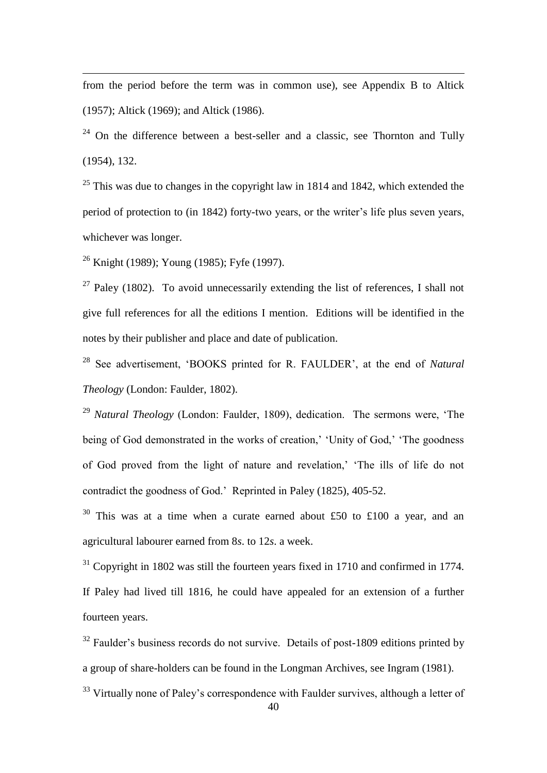from the period before the term was in common use), see Appendix B to Altick (1957); Altick (1969); and Altick (1986).

 $24$  On the difference between a best-seller and a classic, see Thornton and Tully (1954), 132.

 $25$  This was due to changes in the copyright law in 1814 and 1842, which extended the period of protection to (in 1842) forty-two years, or the writer's life plus seven years, whichever was longer.

<sup>26</sup> Knight (1989); Young (1985); Fyfe (1997).

<u>.</u>

<sup>27</sup> Paley (1802). To avoid unnecessarily extending the list of references. I shall not give full references for all the editions I mention. Editions will be identified in the notes by their publisher and place and date of publication.

<sup>28</sup> See advertisement, 'BOOKS printed for R. FAULDER', at the end of *Natural Theology* (London: Faulder, 1802).

<sup>29</sup> *Natural Theology* (London: Faulder, 1809), dedication. The sermons were, 'The being of God demonstrated in the works of creation,' 'Unity of God,' 'The goodness of God proved from the light of nature and revelation,' 'The ills of life do not contradict the goodness of God.' Reprinted in Paley (1825), 405-52.

<sup>30</sup> This was at a time when a curate earned about £50 to £100 a year, and an agricultural labourer earned from 8*s*. to 12*s*. a week.

 $31$  Copyright in 1802 was still the fourteen years fixed in 1710 and confirmed in 1774. If Paley had lived till 1816, he could have appealed for an extension of a further fourteen years.

<sup>32</sup> Faulder's business records do not survive. Details of post-1809 editions printed by a group of share-holders can be found in the Longman Archives, see Ingram (1981).

<sup>33</sup> Virtually none of Paley's correspondence with Faulder survives, although a letter of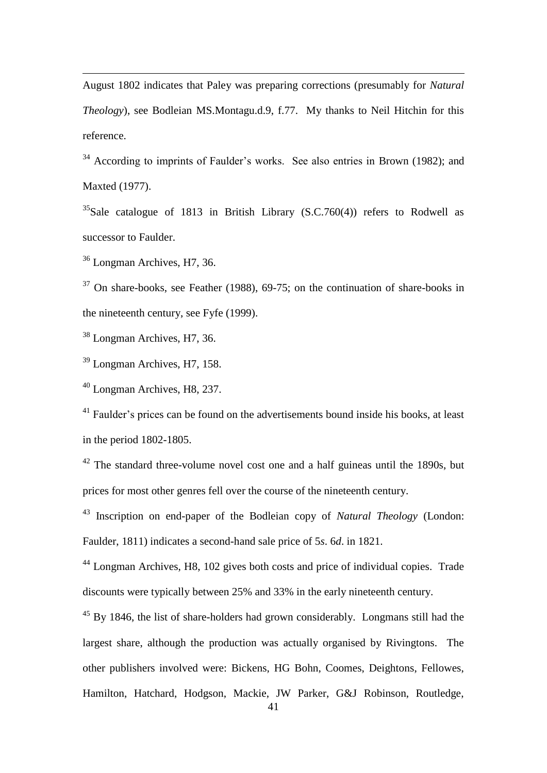August 1802 indicates that Paley was preparing corrections (presumably for *Natural Theology*), see Bodleian MS.Montagu.d.9, f.77. My thanks to Neil Hitchin for this reference.

 $34$  According to imprints of Faulder's works. See also entries in Brown (1982); and Maxted (1977).

 $35$ Sale catalogue of 1813 in British Library (S.C.760(4)) refers to Rodwell as successor to Faulder.

<sup>36</sup> Longman Archives, H7, 36.

<u>.</u>

 $37$  On share-books, see Feather (1988), 69-75; on the continuation of share-books in the nineteenth century, see Fyfe (1999).

<sup>38</sup> Longman Archives, H7, 36.

<sup>39</sup> Longman Archives, H7, 158.

<sup>40</sup> Longman Archives, H8, 237.

<sup>41</sup> Faulder's prices can be found on the advertisements bound inside his books, at least in the period 1802-1805.

 $42$  The standard three-volume novel cost one and a half guineas until the 1890s, but prices for most other genres fell over the course of the nineteenth century.

<sup>43</sup> Inscription on end-paper of the Bodleian copy of *Natural Theology* (London: Faulder, 1811) indicates a second-hand sale price of 5*s*. 6*d*. in 1821.

<sup>44</sup> Longman Archives, H8, 102 gives both costs and price of individual copies. Trade discounts were typically between 25% and 33% in the early nineteenth century.

<sup>45</sup> By 1846, the list of share-holders had grown considerably. Longmans still had the largest share, although the production was actually organised by Rivingtons. The other publishers involved were: Bickens, HG Bohn, Coomes, Deightons, Fellowes, Hamilton, Hatchard, Hodgson, Mackie, JW Parker, G&J Robinson, Routledge,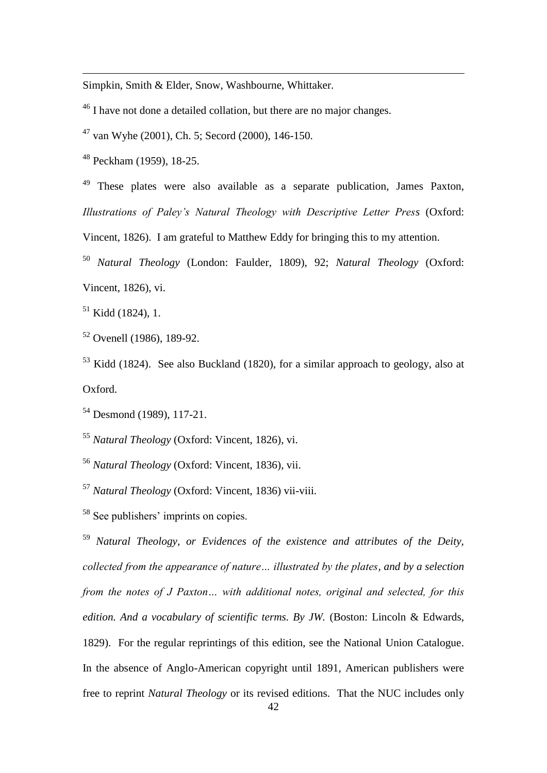Simpkin, Smith & Elder, Snow, Washbourne, Whittaker.

<sup>46</sup> I have not done a detailed collation, but there are no major changes.

<sup>47</sup> van Wyhe (2001), Ch. 5; Secord (2000), 146-150.

<sup>48</sup> Peckham (1959), 18-25.

<u>.</u>

<sup>49</sup> These plates were also available as a separate publication, James Paxton, *Illustrations of Paley's Natural Theology with Descriptive Letter Press* (Oxford:

Vincent, 1826). I am grateful to Matthew Eddy for bringing this to my attention.

<sup>50</sup> *Natural Theology* (London: Faulder, 1809), 92; *Natural Theology* (Oxford: Vincent, 1826), vi.

 $51$  Kidd (1824), 1.

<sup>52</sup> Ovenell (1986), 189-92.

<sup>53</sup> Kidd (1824). See also Buckland (1820), for a similar approach to geology, also at Oxford.

<sup>54</sup> Desmond (1989), 117-21.

<sup>55</sup> *Natural Theology* (Oxford: Vincent, 1826), vi.

<sup>56</sup> *Natural Theology* (Oxford: Vincent, 1836), vii.

<sup>57</sup> *Natural Theology* (Oxford: Vincent, 1836) vii-viii.

<sup>58</sup> See publishers' imprints on copies.

<sup>59</sup> *Natural Theology, or Evidences of the existence and attributes of the Deity, collected from the appearance of nature… illustrated by the plates, and by a selection from the notes of J Paxton… with additional notes, original and selected, for this edition. And a vocabulary of scientific terms. By JW.* (Boston: Lincoln & Edwards, 1829). For the regular reprintings of this edition, see the National Union Catalogue. In the absence of Anglo-American copyright until 1891, American publishers were free to reprint *Natural Theology* or its revised editions. That the NUC includes only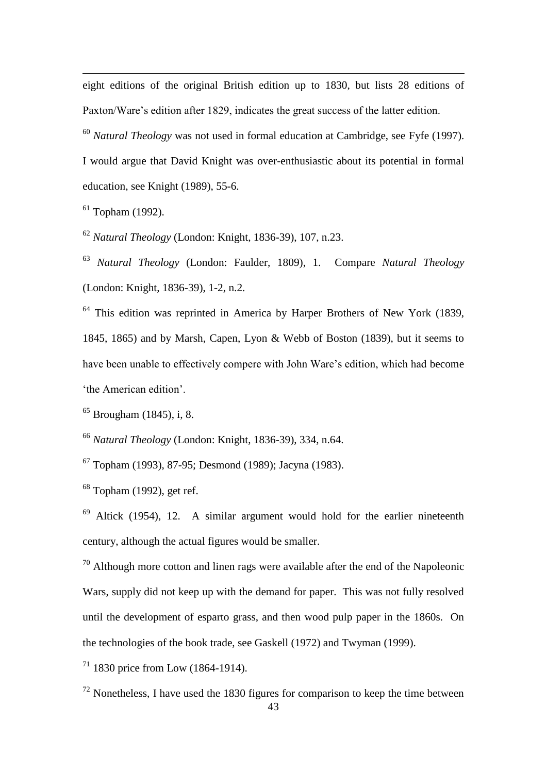eight editions of the original British edition up to 1830, but lists 28 editions of Paxton/Ware's edition after 1829, indicates the great success of the latter edition.

<sup>60</sup> *Natural Theology* was not used in formal education at Cambridge, see Fyfe (1997).

I would argue that David Knight was over-enthusiastic about its potential in formal education, see Knight (1989), 55-6.

 $61$  Topham (1992).

<u>.</u>

<sup>62</sup> *Natural Theology* (London: Knight, 1836-39), 107, n.23.

<sup>63</sup> *Natural Theology* (London: Faulder, 1809), 1. Compare *Natural Theology* (London: Knight, 1836-39), 1-2, n.2.

<sup>64</sup> This edition was reprinted in America by Harper Brothers of New York (1839, 1845, 1865) and by Marsh, Capen, Lyon & Webb of Boston (1839), but it seems to have been unable to effectively compere with John Ware's edition, which had become 'the American edition'.

 $65$  Brougham (1845), i, 8.

<sup>66</sup> *Natural Theology* (London: Knight, 1836-39), 334, n.64.

<sup>67</sup> Topham (1993), 87-95; Desmond (1989); Jacyna (1983).

 $68$  Topham (1992), get ref.

<sup>69</sup> Altick (1954), 12. A similar argument would hold for the earlier nineteenth century, although the actual figures would be smaller.

 $70$  Although more cotton and linen rags were available after the end of the Napoleonic Wars, supply did not keep up with the demand for paper. This was not fully resolved until the development of esparto grass, and then wood pulp paper in the 1860s. On the technologies of the book trade, see Gaskell (1972) and Twyman (1999).

<sup>71</sup> 1830 price from Low (1864-1914).

 $72$  Nonetheless, I have used the 1830 figures for comparison to keep the time between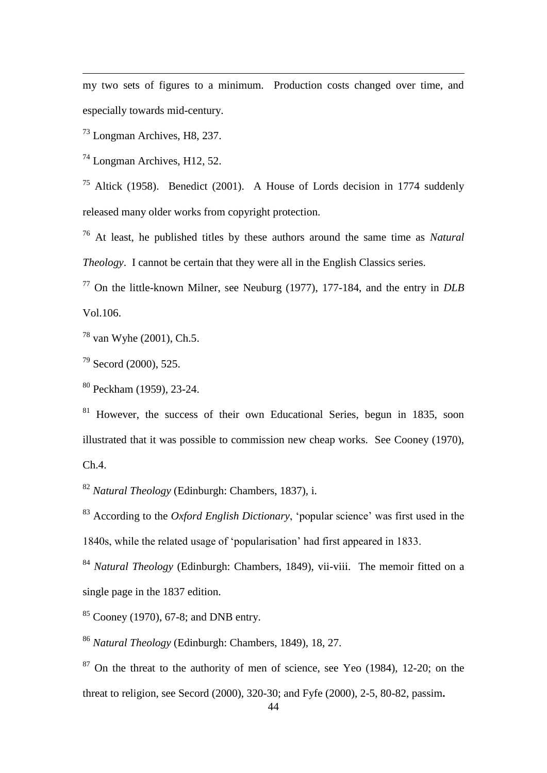my two sets of figures to a minimum. Production costs changed over time, and especially towards mid-century.

<sup>73</sup> Longman Archives, H8, 237.

<u>.</u>

<sup>74</sup> Longman Archives, H12, 52.

<sup>75</sup> Altick (1958). Benedict (2001). A House of Lords decision in 1774 suddenly released many older works from copyright protection.

<sup>76</sup> At least, he published titles by these authors around the same time as *Natural Theology*. I cannot be certain that they were all in the English Classics series.

<sup>77</sup> On the little-known Milner, see Neuburg (1977), 177-184, and the entry in *DLB* Vol.106.

<sup>78</sup> van Wyhe (2001), Ch.5.

<sup>79</sup> Secord (2000), 525.

<sup>80</sup> Peckham (1959), 23-24.

<sup>81</sup> However, the success of their own Educational Series, begun in 1835, soon illustrated that it was possible to commission new cheap works. See Cooney (1970), Ch.4.

<sup>82</sup> *Natural Theology* (Edinburgh: Chambers, 1837), i.

<sup>83</sup> According to the *Oxford English Dictionary*, 'popular science' was first used in the 1840s, while the related usage of 'popularisation' had first appeared in 1833.

<sup>84</sup> *Natural Theology* (Edinburgh: Chambers, 1849), vii-viii. The memoir fitted on a single page in the 1837 edition.

 $85$  Cooney (1970), 67-8; and DNB entry.

<sup>86</sup> *Natural Theology* (Edinburgh: Chambers, 1849), 18, 27.

 $87$  On the threat to the authority of men of science, see Yeo (1984), 12-20; on the threat to religion, see Secord (2000), 320-30; and Fyfe (2000), 2-5, 80-82, passim**.**